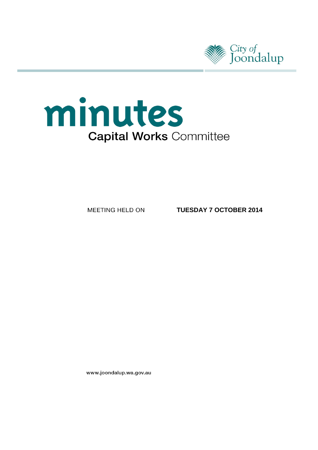

# minutes **Capital Works Committee**

MEETING HELD ON

**TUESDAY 7 OCTOBER 2014**

www.joondalup.wa.gov.au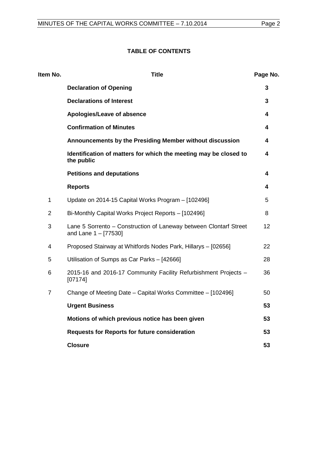# **TABLE OF CONTENTS**

| Item No.       | <b>Title</b>                                                                                | Page No. |
|----------------|---------------------------------------------------------------------------------------------|----------|
|                | <b>Declaration of Opening</b>                                                               | 3        |
|                | <b>Declarations of Interest</b>                                                             | 3        |
|                | Apologies/Leave of absence                                                                  | 4        |
|                | <b>Confirmation of Minutes</b>                                                              | 4        |
|                | Announcements by the Presiding Member without discussion                                    | 4        |
|                | Identification of matters for which the meeting may be closed to<br>the public              | 4        |
|                | <b>Petitions and deputations</b>                                                            | 4        |
|                | <b>Reports</b>                                                                              | 4        |
| $\mathbf{1}$   | Update on 2014-15 Capital Works Program - [102496]                                          | 5        |
| $\overline{2}$ | Bi-Monthly Capital Works Project Reports - [102496]                                         | 8        |
| 3              | Lane 5 Sorrento - Construction of Laneway between Clontarf Street<br>and Lane $1 - [77530]$ | 12       |
| 4              | Proposed Stairway at Whitfords Nodes Park, Hillarys - [02656]                               | 22       |
| 5              | Utilisation of Sumps as Car Parks - [42666]                                                 | 28       |
| 6              | 2015-16 and 2016-17 Community Facility Refurbishment Projects -<br>[07174]                  | 36       |
| $\overline{7}$ | Change of Meeting Date - Capital Works Committee - [102496]                                 | 50       |
|                | <b>Urgent Business</b>                                                                      | 53       |
|                | Motions of which previous notice has been given                                             | 53       |
|                | <b>Requests for Reports for future consideration</b>                                        | 53       |
|                | <b>Closure</b>                                                                              | 53       |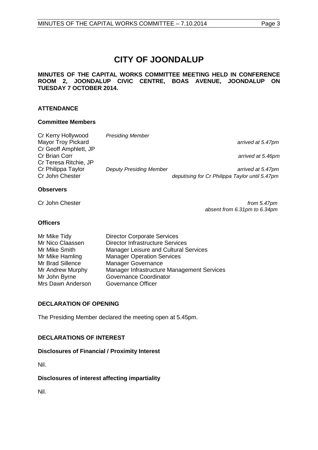# **CITY OF JOONDALUP**

#### **MINUTES OF THE CAPITAL WORKS COMMITTEE MEETING HELD IN CONFERENCE ROOM 2, JOONDALUP CIVIC CENTRE, BOAS AVENUE, JOONDALUP ON TUESDAY 7 OCTOBER 2014.**

### **ATTENDANCE**

#### **Committee Members**

| Cr Kerry Hollywood        | <b>Presiding Member</b>        |                                                |
|---------------------------|--------------------------------|------------------------------------------------|
| <b>Mayor Troy Pickard</b> |                                | arrived at 5.47pm                              |
| Cr Geoff Amphlett, JP     |                                |                                                |
| Cr Brian Corr             |                                | arrived at 5.46pm                              |
| Cr Teresa Ritchie, JP     |                                |                                                |
| Cr Philippa Taylor        | <b>Deputy Presiding Member</b> | arrived at 5.47pm                              |
| Cr John Chester           |                                | deputising for Cr Philippa Taylor until 5.47pm |
|                           |                                |                                                |

#### **Observers**

Cr John Chester *from 5.47pm absent from 6.31pm to 6.34pm*

#### **Officers**

| Mr Mike Tidy      | <b>Director Corporate Services</b>         |
|-------------------|--------------------------------------------|
| Mr Nico Claassen  | <b>Director Infrastructure Services</b>    |
| Mr Mike Smith     | Manager Leisure and Cultural Services      |
| Mr Mike Hamling   | <b>Manager Operation Services</b>          |
| Mr Brad Sillence  | <b>Manager Governance</b>                  |
| Mr Andrew Murphy  | Manager Infrastructure Management Services |
| Mr John Byrne     | Governance Coordinator                     |
| Mrs Dawn Anderson | Governance Officer                         |
|                   |                                            |

### <span id="page-2-0"></span>**DECLARATION OF OPENING**

The Presiding Member declared the meeting open at 5.45pm.

### <span id="page-2-1"></span>**DECLARATIONS OF INTEREST**

#### **Disclosures of Financial / Proximity Interest**

Nil.

#### **Disclosures of interest affecting impartiality**

<span id="page-2-2"></span>Nil.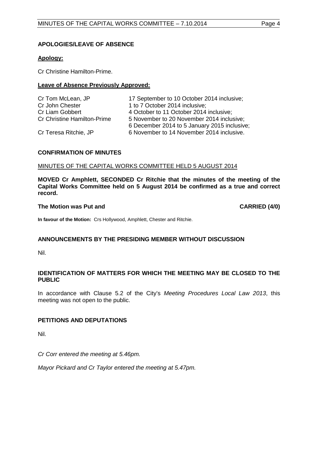#### **APOLOGIES/LEAVE OF ABSENCE**

#### **Apology:**

Cr Christine Hamilton-Prime.

#### **Leave of Absence Previously Approved:**

| Cr Tom McLean, JP                  | 17 September to 10 October 2014 inclusive;   |
|------------------------------------|----------------------------------------------|
| Cr John Chester                    | 1 to 7 October 2014 inclusive;               |
| Cr Liam Gobbert                    | 4 October to 11 October 2014 inclusive;      |
| <b>Cr Christine Hamilton-Prime</b> | 5 November to 20 November 2014 inclusive;    |
|                                    | 6 December 2014 to 5 January 2015 inclusive; |
| Cr Teresa Ritchie, JP              | 6 November to 14 November 2014 inclusive.    |

#### <span id="page-3-0"></span>**CONFIRMATION OF MINUTES**

#### MINUTES OF THE CAPITAL WORKS COMMITTEE HELD 5 AUGUST 2014

**MOVED Cr Amphlett, SECONDED Cr Ritchie that the minutes of the meeting of the Capital Works Committee held on 5 August 2014 be confirmed as a true and correct record.**

#### **The Motion was Put and CARRIED (4/0)**

**In favour of the Motion:** Crs Hollywood, Amphlett, Chester and Ritchie.

### <span id="page-3-1"></span>**ANNOUNCEMENTS BY THE PRESIDING MEMBER WITHOUT DISCUSSION**

Nil.

#### <span id="page-3-2"></span>**IDENTIFICATION OF MATTERS FOR WHICH THE MEETING MAY BE CLOSED TO THE PUBLIC**

In accordance with Clause 5.2 of the City's *Meeting Procedures Local Law 2013*, this meeting was not open to the public.

### <span id="page-3-4"></span><span id="page-3-3"></span>**PETITIONS AND DEPUTATIONS**

Nil.

*Cr Corr entered the meeting at 5.46pm.*

*Mayor Pickard and Cr Taylor entered the meeting at 5.47pm.*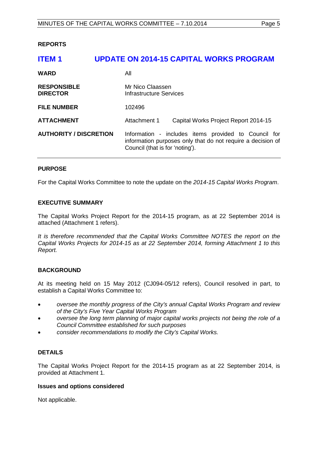#### **REPORTS**

# <span id="page-4-0"></span>**ITEM 1 UPDATE ON 2014-15 CAPITAL WORKS PROGRAM WARD** All **RESPONSIBLE** Mr Nico Claassen<br> **DIRECTOR** Mr Infrastructure Server **Infrastructure Services FILE NUMBER** 102496 **ATTACHMENT** Attachment 1 Capital Works Project Report 2014-15 **AUTHORITY / DISCRETION** Information - includes items provided to Council for information purposes only that do not require a decision of Council (that is for 'noting').

#### **PURPOSE**

For the Capital Works Committee to note the update on the *2014-15 Capital Works Program*.

#### **EXECUTIVE SUMMARY**

The Capital Works Project Report for the 2014-15 program, as at 22 September 2014 is attached (Attachment 1 refers).

*It is therefore recommended that the Capital Works Committee NOTES the report on the Capital Works Projects for 2014-15 as at 22 September 2014, forming Attachment 1 to this Report.*

#### **BACKGROUND**

At its meeting held on 15 May 2012 (CJ094-05/12 refers), Council resolved in part, to establish a Capital Works Committee to:

- *oversee the monthly progress of the City's annual Capital Works Program and review of the City's Five Year Capital Works Program*
- *oversee the long term planning of major capital works projects not being the role of a Council Committee established for such purposes*
- *consider recommendations to modify the City's Capital Works.*

#### **DETAILS**

The Capital Works Project Report for the 2014-15 program as at 22 September 2014, is provided at Attachment 1.

#### **Issues and options considered**

Not applicable.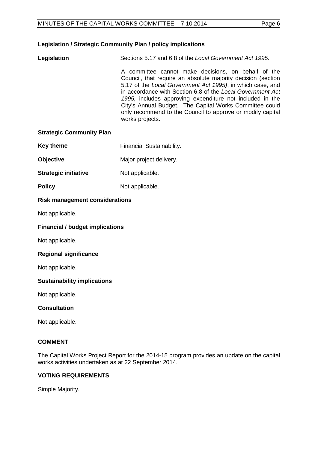#### **Legislation / Strategic Community Plan / policy implications**

**Legislation** Sections 5.17 and 6.8 of the *Local Government Act 1995.*

A committee cannot make decisions, on behalf of the Council, that require an absolute majority decision (section 5.17 of the *Local Government Act 1995)*, in which case, and in accordance with Section 6.8 of the *Local Government Act 1995,* includes approving expenditure not included in the City's Annual Budget. The Capital Works Committee could only recommend to the Council to approve or modify capital works projects.

#### **Strategic Community Plan**

- **Key theme** Financial Sustainability.
- **Objective** Major project delivery.
- **Strategic initiative** Not applicable.
- **Policy** Not applicable.

#### **Risk management considerations**

Not applicable.

#### **Financial / budget implications**

Not applicable.

#### **Regional significance**

Not applicable.

#### **Sustainability implications**

Not applicable.

#### **Consultation**

Not applicable.

#### **COMMENT**

The Capital Works Project Report for the 2014-15 program provides an update on the capital works activities undertaken as at 22 September 2014.

#### **VOTING REQUIREMENTS**

Simple Majority.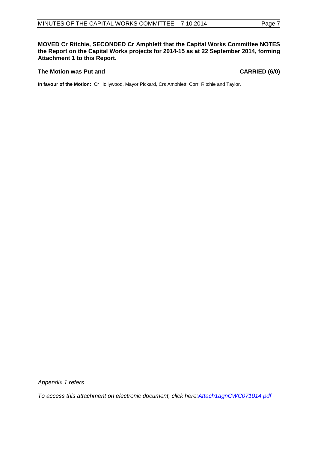**MOVED Cr Ritchie, SECONDED Cr Amphlett that the Capital Works Committee NOTES the Report on the Capital Works projects for 2014-15 as at 22 September 2014, forming Attachment 1 to this Report.**

#### **The Motion was Put and CARRIED (6/0)**

**In favour of the Motion:** Cr Hollywood, Mayor Pickard, Crs Amphlett, Corr, Ritchie and Taylor.

*Appendix 1 refers*

*[To access this attachment on electronic document, click here:Attach1agnCWC071014.pdf](http://www.joondalup.wa.gov.au/files/committees/CWOC/2014/Attach1agnCWC071014.pdf)*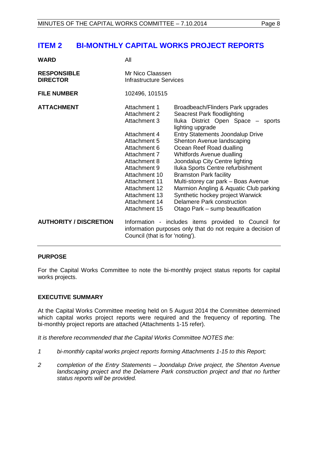# <span id="page-7-0"></span>**ITEM 2 BI-MONTHLY CAPITAL WORKS PROJECT REPORTS**

| WARD | All |
|------|-----|
|      |     |

| <b>RESPONSIBLE</b><br><b>DIRECTOR</b> | Mr Nico Claassen<br><b>Infrastructure Services</b>                                                                                                                                                                                                 |                                                                                                                                                                                                                                                                                                                                                                                                                                                                                                                                                             |  |  |
|---------------------------------------|----------------------------------------------------------------------------------------------------------------------------------------------------------------------------------------------------------------------------------------------------|-------------------------------------------------------------------------------------------------------------------------------------------------------------------------------------------------------------------------------------------------------------------------------------------------------------------------------------------------------------------------------------------------------------------------------------------------------------------------------------------------------------------------------------------------------------|--|--|
| <b>FILE NUMBER</b>                    | 102496, 101515                                                                                                                                                                                                                                     |                                                                                                                                                                                                                                                                                                                                                                                                                                                                                                                                                             |  |  |
| <b>ATTACHMENT</b>                     | Attachment 1<br>Attachment 2<br>Attachment 3<br>Attachment 4<br>Attachment 5<br>Attachment 6<br>Attachment 7<br>Attachment 8<br>Attachment 9<br>Attachment 10<br>Attachment 11<br>Attachment 12<br>Attachment 13<br>Attachment 14<br>Attachment 15 | Broadbeach/Flinders Park upgrades<br>Seacrest Park floodlighting<br>Iluka District Open Space - sports<br>lighting upgrade<br><b>Entry Statements Joondalup Drive</b><br>Shenton Avenue landscaping<br>Ocean Reef Road dualling<br>Whitfords Avenue dualling<br>Joondalup City Centre lighting<br>Iluka Sports Centre refurbishment<br><b>Bramston Park facility</b><br>Multi-storey car park - Boas Avenue<br>Marmion Angling & Aquatic Club parking<br>Synthetic hockey project Warwick<br>Delamere Park construction<br>Otago Park – sump beautification |  |  |
| <b>AUTHORITY / DISCRETION</b>         | Information - includes items provided to Council for<br>information purposes only that do not require a decision of<br>Council (that is for 'noting').                                                                                             |                                                                                                                                                                                                                                                                                                                                                                                                                                                                                                                                                             |  |  |

#### **PURPOSE**

For the Capital Works Committee to note the bi-monthly project status reports for capital works projects.

#### **EXECUTIVE SUMMARY**

At the Capital Works Committee meeting held on 5 August 2014 the Committee determined which capital works project reports were required and the frequency of reporting. The bi-monthly project reports are attached (Attachments 1-15 refer).

*It is therefore recommended that the Capital Works Committee NOTES the:*

- *1 bi-monthly capital works project reports forming Attachments 1-15 to this Report;*
- *2 completion of the Entry Statements – Joondalup Drive project, the Shenton Avenue*  landscaping project and the Delamere Park construction project and that no further *status reports will be provided.*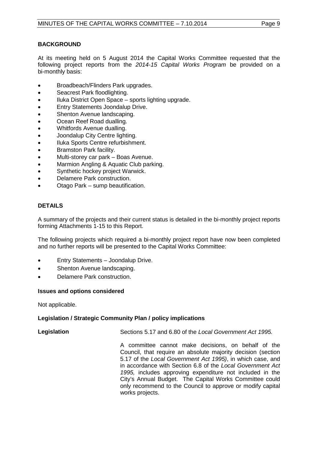#### **BACKGROUND**

At its meeting held on 5 August 2014 the Capital Works Committee requested that the following project reports from the *2014-15 Capital Works Program* be provided on a bi-monthly basis:

- Broadbeach/Flinders Park upgrades.
- Seacrest Park floodlighting.
- Iluka District Open Space sports lighting upgrade.
- Entry Statements Joondalup Drive.
- Shenton Avenue landscaping.
- Ocean Reef Road dualling.
- Whitfords Avenue dualling.
- Joondalup City Centre lighting.
- Iluka Sports Centre refurbishment.
- Bramston Park facility.
- Multi-storey car park Boas Avenue.
- Marmion Angling & Aquatic Club parking.
- Synthetic hockey project Warwick.
- Delamere Park construction.
- Otago Park sump beautification.

#### **DETAILS**

A summary of the projects and their current status is detailed in the bi-monthly project reports forming Attachments 1-15 to this Report.

The following projects which required a bi-monthly project report have now been completed and no further reports will be presented to the Capital Works Committee:

- Entry Statements Joondalup Drive.
- Shenton Avenue landscaping.
- Delamere Park construction.

#### **Issues and options considered**

Not applicable.

#### **Legislation / Strategic Community Plan / policy implications**

**Legislation** Sections 5.17 and 6.80 of the *Local Government Act 1995.*

A committee cannot make decisions, on behalf of the Council, that require an absolute majority decision (section 5.17 of the *Local Government Act 1995)*, in which case, and in accordance with Section 6.8 of the *Local Government Act 1995,* includes approving expenditure not included in the City's Annual Budget. The Capital Works Committee could only recommend to the Council to approve or modify capital works projects.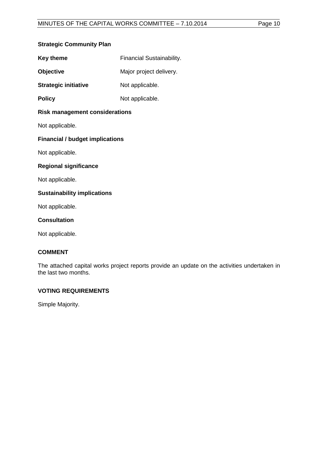#### **Strategic Community Plan**

| <b>Key theme</b> | <b>Financial Sustainability.</b> |
|------------------|----------------------------------|
|------------------|----------------------------------|

**Objective** Major project delivery.

**Strategic initiative** Not applicable.

**Policy** Not applicable.

#### **Risk management considerations**

Not applicable.

### **Financial / budget implications**

Not applicable.

#### **Regional significance**

Not applicable.

#### **Sustainability implications**

Not applicable.

#### **Consultation**

Not applicable.

### **COMMENT**

The attached capital works project reports provide an update on the activities undertaken in the last two months.

### **VOTING REQUIREMENTS**

Simple Majority.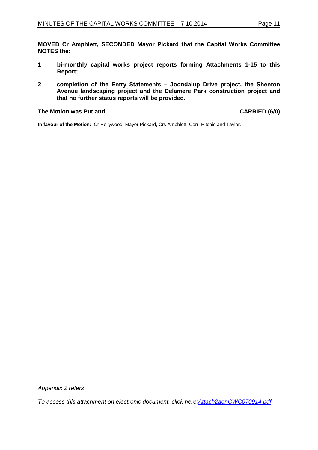**MOVED Cr Amphlett, SECONDED Mayor Pickard that the Capital Works Committee NOTES the:** 

- **1 bi-monthly capital works project reports forming Attachments 1-15 to this Report;**
- **2 completion of the Entry Statements Joondalup Drive project, the Shenton Avenue landscaping project and the Delamere Park construction project and that no further status reports will be provided.**

#### **The Motion was Put and CARRIED (6/0)**

**In favour of the Motion:** Cr Hollywood, Mayor Pickard, Crs Amphlett, Corr, Ritchie and Taylor.

*Appendix 2 refers*

<span id="page-10-0"></span>*[To access this attachment on electronic document, click here:Attach2agnCWC070914.pdf](http://www.joondalup.wa.gov.au/files/committees/CWOC/2014/Attach2agnCWC070914.pdf)*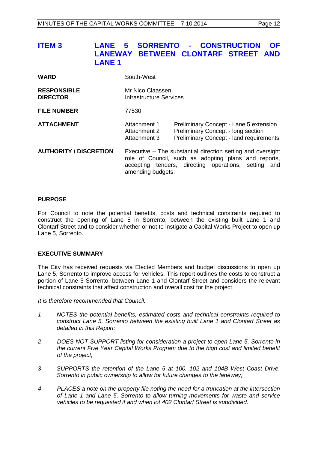| <b>ITEM 3</b> |               | LANE 5 SORRENTO - CONSTRUCTION OF   |  |  |
|---------------|---------------|-------------------------------------|--|--|
|               |               | LANEWAY BETWEEN CLONTARF STREET AND |  |  |
|               | <b>LANE 1</b> |                                     |  |  |

| <b>WARD</b>                           | South-West                                                                                                                                                                                       |                                                                                                                                |  |  |
|---------------------------------------|--------------------------------------------------------------------------------------------------------------------------------------------------------------------------------------------------|--------------------------------------------------------------------------------------------------------------------------------|--|--|
| <b>RESPONSIBLE</b><br><b>DIRECTOR</b> | Mr Nico Claassen<br>Infrastructure Services                                                                                                                                                      |                                                                                                                                |  |  |
| <b>FILE NUMBER</b>                    | 77530                                                                                                                                                                                            |                                                                                                                                |  |  |
| <b>ATTACHMENT</b>                     | Attachment 1<br>Attachment 2<br>Attachment 3                                                                                                                                                     | Preliminary Concept - Lane 5 extension<br>Preliminary Concept - long section<br><b>Preliminary Concept - land requirements</b> |  |  |
| <b>AUTHORITY / DISCRETION</b>         | Executive – The substantial direction setting and oversight<br>role of Council, such as adopting plans and reports,<br>accepting tenders, directing operations, setting and<br>amending budgets. |                                                                                                                                |  |  |

#### **PURPOSE**

For Council to note the potential benefits, costs and technical constraints required to construct the opening of Lane 5 in Sorrento, between the existing built Lane 1 and Clontarf Street and to consider whether or not to instigate a Capital Works Project to open up Lane 5, Sorrento.

#### **EXECUTIVE SUMMARY**

The City has received requests via Elected Members and budget discussions to open up Lane 5, Sorrento to improve access for vehicles. This report outlines the costs to construct a portion of Lane 5 Sorrento, between Lane 1 and Clontarf Street and considers the relevant technical constraints that affect construction and overall cost for the project.

*It is therefore recommended that Council:*

- *1 NOTES the potential benefits, estimated costs and technical constraints required to construct Lane 5, Sorrento between the existing built Lane 1 and Clontarf Street as detailed in this Report;*
- *2 DOES NOT SUPPORT listing for consideration a project to open Lane 5, Sorrento in the current Five Year Capital Works Program due to the high cost and limited benefit of the project;*
- *3 SUPPORTS the retention of the Lane 5 at 100, 102 and 104B West Coast Drive, Sorrento in public ownership to allow for future changes to the laneway;*
- *4 PLACES a note on the property file noting the need for a truncation at the intersection of Lane 1 and Lane 5, Sorrento to allow turning movements for waste and service vehicles to be requested if and when lot 402 Clontarf Street is subdivided.*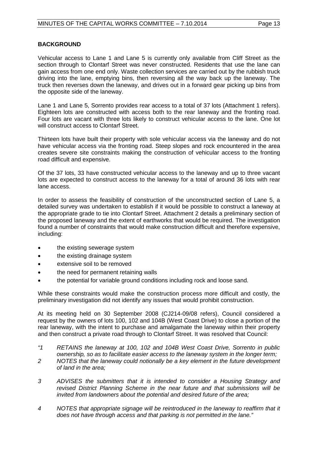#### **BACKGROUND**

Vehicular access to Lane 1 and Lane 5 is currently only available from Cliff Street as the section through to Clontarf Street was never constructed. Residents that use the lane can gain access from one end only. Waste collection services are carried out by the rubbish truck driving into the lane, emptying bins, then reversing all the way back up the laneway. The truck then reverses down the laneway, and drives out in a forward gear picking up bins from the opposite side of the laneway.

Lane 1 and Lane 5, Sorrento provides rear access to a total of 37 lots (Attachment 1 refers). Eighteen lots are constructed with access both to the rear laneway and the fronting road. Four lots are vacant with three lots likely to construct vehicular access to the lane. One lot will construct access to Clontarf Street.

Thirteen lots have built their property with sole vehicular access via the laneway and do not have vehicular access via the fronting road. Steep slopes and rock encountered in the area creates severe site constraints making the construction of vehicular access to the fronting road difficult and expensive.

Of the 37 lots, 33 have constructed vehicular access to the laneway and up to three vacant lots are expected to construct access to the laneway for a total of around 36 lots with rear lane access.

In order to assess the feasibility of construction of the unconstructed section of Lane 5, a detailed survey was undertaken to establish if it would be possible to construct a laneway at the appropriate grade to tie into Clontarf Street. Attachment 2 details a preliminary section of the proposed laneway and the extent of earthworks that would be required. The investigation found a number of constraints that would make construction difficult and therefore expensive, including:

- the existing sewerage system
- the existing drainage system
- extensive soil to be removed
- the need for permanent retaining walls
- the potential for variable ground conditions including rock and loose sand.

While these constraints would make the construction process more difficult and costly, the preliminary investigation did not identify any issues that would prohibit construction.

At its meeting held on 30 September 2008 (CJ214-09/08 refers), Council considered a request by the owners of lots 100, 102 and 104B (West Coast Drive) to close a portion of the rear laneway, with the intent to purchase and amalgamate the laneway within their property and then construct a private road through to Clontarf Street. It was resolved that Council:

- *"1 RETAINS the laneway at 100, 102 and 104B West Coast Drive, Sorrento in public ownership, so as to facilitate easier access to the laneway system in the longer term;*
- *2 NOTES that the laneway could notionally be a key element in the future development of land in the area;*
- *3 ADVISES the submitters that it is intended to consider a Housing Strategy and revised District Planning Scheme in the near future and that submissions will be invited from landowners about the potential and desired future of the area;*
- *4 NOTES that appropriate signage will be reintroduced in the laneway to reaffirm that it does not have through access and that parking is not permitted in the lane."*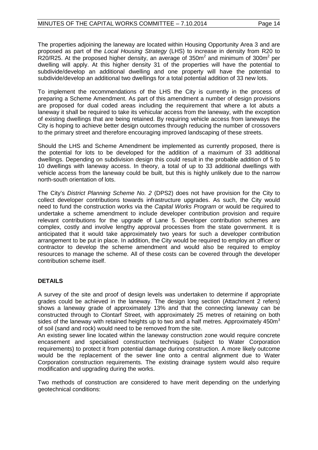The properties adjoining the laneway are located within Housing Opportunity Area 3 and are proposed as part of the *Local Housing Strategy* (LHS) to increase in density from R20 to R20/R25. At the proposed higher density, an average of  $350m^2$  and minimum of  $300m^2$  per dwelling will apply. At this higher density 31 of the properties will have the potential to subdivide/develop an additional dwelling and one property will have the potential to subdivide/develop an additional two dwellings for a total potential addition of 33 new lots.

To implement the recommendations of the LHS the City is currently in the process of preparing a Scheme Amendment. As part of this amendment a number of design provisions are proposed for dual coded areas including the requirement that where a lot abuts a laneway it shall be required to take its vehicular access from the laneway, with the exception of existing dwellings that are being retained. By requiring vehicle access from laneways the City is hoping to achieve better design outcomes through reducing the number of crossovers to the primary street and therefore encouraging improved landscaping of these streets.

Should the LHS and Scheme Amendment be implemented as currently proposed, there is the potential for lots to be developed for the addition of a maximum of 33 additional dwellings. Depending on subdivision design this could result in the probable addition of 5 to 10 dwellings with laneway access. In theory, a total of up to 33 additional dwellings with vehicle access from the laneway could be built, but this is highly unlikely due to the narrow north-south orientation of lots.

The City's *District Planning Scheme No. 2* (DPS2) does not have provision for the City to collect developer contributions towards infrastructure upgrades. As such, the City would need to fund the construction works via the *Capital Works Program* or would be required to undertake a scheme amendment to include developer contribution provision and require relevant contributions for the upgrade of Lane 5. Developer contribution schemes are complex, costly and involve lengthy approval processes from the state government. It is anticipated that it would take approximately two years for such a developer contribution arrangement to be put in place. In addition, the City would be required to employ an officer or contractor to develop the scheme amendment and would also be required to employ resources to manage the scheme. All of these costs can be covered through the developer contribution scheme itself.

### **DETAILS**

A survey of the site and proof of design levels was undertaken to determine if appropriate grades could be achieved in the laneway. The design long section (Attachment 2 refers) shows a laneway grade of approximately 13% and that the connecting laneway can be constructed through to Clontarf Street, with approximately 25 metres of retaining on both sides of the laneway with retained heights up to two and a half metres. Approximately 450 $m<sup>3</sup>$ of soil (sand and rock) would need to be removed from the site.

An existing sewer line located within the laneway construction zone would require concrete encasement and specialised construction techniques (subject to Water Corporation requirements) to protect it from potential damage during construction. A more likely outcome would be the replacement of the sewer line onto a central alignment due to Water Corporation construction requirements. The existing drainage system would also require modification and upgrading during the works.

Two methods of construction are considered to have merit depending on the underlying geotechnical conditions: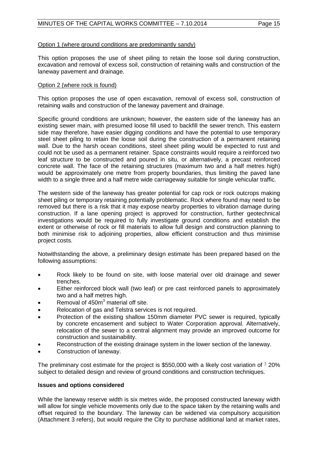#### Option 1 (where ground conditions are predominantly sandy)

This option proposes the use of sheet piling to retain the loose soil during construction, excavation and removal of excess soil, construction of retaining walls and construction of the laneway pavement and drainage.

#### Option 2 (where rock is found)

This option proposes the use of open excavation, removal of excess soil, construction of retaining walls and construction of the laneway pavement and drainage.

Specific ground conditions are unknown; however, the eastern side of the laneway has an existing sewer main, with presumed loose fill used to backfill the sewer trench. This eastern side may therefore, have easier digging conditions and have the potential to use temporary steel sheet piling to retain the loose soil during the construction of a permanent retaining wall. Due to the harsh ocean conditions, steel sheet piling would be expected to rust and could not be used as a permanent retainer. Space constraints would require a reinforced two leaf structure to be constructed and poured in situ, or alternatively, a precast reinforced concrete wall. The face of the retaining structures (maximum two and a half metres high) would be approximately one metre from property boundaries, thus limiting the paved lane width to a single three and a half metre wide carriageway suitable for single vehicular traffic.

The western side of the laneway has greater potential for cap rock or rock outcrops making sheet piling or temporary retaining potentially problematic. Rock where found may need to be removed but there is a risk that it may expose nearby properties to vibration damage during construction. If a lane opening project is approved for construction, further geotechnical investigations would be required to fully investigate ground conditions and establish the extent or otherwise of rock or fill materials to allow full design and construction planning to both minimise risk to adjoining properties, allow efficient construction and thus minimise project costs.

Notwithstanding the above, a preliminary design estimate has been prepared based on the following assumptions:

- Rock likely to be found on site, with loose material over old drainage and sewer trenches.
- Either reinforced block wall (two leaf) or pre cast reinforced panels to approximately two and a half metres high.
- Removal of 450m<sup>3</sup> material off site.
- Relocation of gas and Telstra services is not required.
- Protection of the existing shallow 150mm diameter PVC sewer is required, typically by concrete encasement and subject to Water Corporation approval. Alternatively, relocation of the sewer to a central alignment may provide an improved outcome for construction and sustainability.
- Reconstruction of the existing drainage system in the lower section of the laneway.
- Construction of laneway.

The preliminary cost estimate for the project is \$550,000 with a likely cost variation of  $\pm$  20% subject to detailed design and review of ground conditions and construction techniques.

#### **Issues and options considered**

While the laneway reserve width is six metres wide, the proposed constructed laneway width will allow for single vehicle movements only due to the space taken by the retaining walls and offset required to the boundary. The laneway can be widened via compulsory acquisition (Attachment 3 refers), but would require the City to purchase additional land at market rates,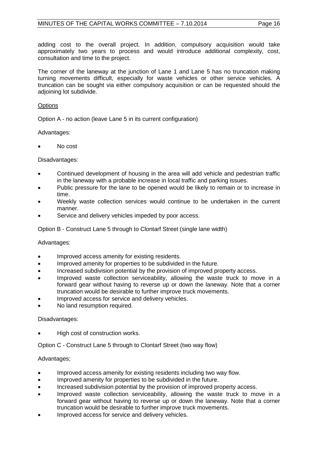adding cost to the overall project. In addition, compulsory acquisition would take approximately two years to process and would introduce additional complexity, cost, consultation and time to the project.

The corner of the laneway at the junction of Lane 1 and Lane 5 has no truncation making turning movements difficult, especially for waste vehicles or other service vehicles. A truncation can be sought via either compulsory acquisition or can be requested should the adjoining lot subdivide.

#### **Options**

Option A - no action (leave Lane 5 in its current configuration)

Advantages:

• No cost

Disadvantages:

- Continued development of housing in the area will add vehicle and pedestrian traffic in the laneway with a probable increase in local traffic and parking issues.
- Public pressure for the lane to be opened would be likely to remain or to increase in time.
- Weekly waste collection services would continue to be undertaken in the current manner.
- Service and delivery vehicles impeded by poor access.

Option B - Construct Lane 5 through to Clontarf Street (single lane width)

Advantages:

- Improved access amenity for existing residents.
- Improved amenity for properties to be subdivided in the future.
- Increased subdivision potential by the provision of improved property access.
- Improved waste collection serviceability, allowing the waste truck to move in a forward gear without having to reverse up or down the laneway. Note that a corner truncation would be desirable to further improve truck movements.
- Improved access for service and delivery vehicles.
- No land resumption required.

Disadvantages:

High cost of construction works.

Option C - Construct Lane 5 through to Clontarf Street (two way flow)

#### Advantages;

- Improved access amenity for existing residents including two way flow.
- Improved amenity for properties to be subdivided in the future.
- Increased subdivision potential by the provision of improved property access.
- Improved waste collection serviceability, allowing the waste truck to move in a forward gear without having to reverse up or down the laneway. Note that a corner truncation would be desirable to further improve truck movements.
- Improved access for service and delivery vehicles.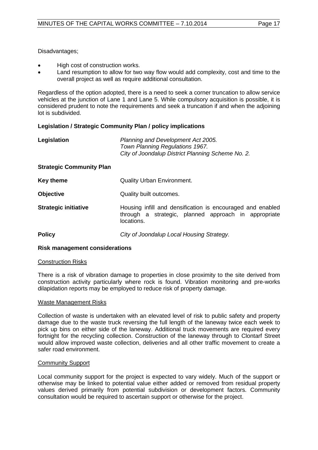Disadvantages;

- High cost of construction works.
- Land resumption to allow for two way flow would add complexity, cost and time to the overall project as well as require additional consultation.

Regardless of the option adopted, there is a need to seek a corner truncation to allow service vehicles at the junction of Lane 1 and Lane 5. While compulsory acquisition is possible, it is considered prudent to note the requirements and seek a truncation if and when the adjoining lot is subdivided.

 $\sim 10^{-1}$ 

#### **Legislation / Strategic Community Plan / policy implications**

| Legislation                                           | Planning and Development Act 2005.<br>Town Planning Regulations 1967.<br>City of Joondalup District Planning Scheme No. 2.       |  |  |  |
|-------------------------------------------------------|----------------------------------------------------------------------------------------------------------------------------------|--|--|--|
| <b>Strategic Community Plan</b>                       |                                                                                                                                  |  |  |  |
| <b>Key theme</b><br><b>Quality Urban Environment.</b> |                                                                                                                                  |  |  |  |
| <b>Objective</b>                                      | Quality built outcomes.                                                                                                          |  |  |  |
| <b>Strategic initiative</b>                           | Housing infill and densification is encouraged and enabled<br>through a strategic, planned approach in appropriate<br>locations. |  |  |  |
| <b>Policy</b>                                         | City of Joondalup Local Housing Strategy.                                                                                        |  |  |  |

#### **Risk management considerations**

#### Construction Risks

There is a risk of vibration damage to properties in close proximity to the site derived from construction activity particularly where rock is found. Vibration monitoring and pre-works dilapidation reports may be employed to reduce risk of property damage.

#### Waste Management Risks

Collection of waste is undertaken with an elevated level of risk to public safety and property damage due to the waste truck reversing the full length of the laneway twice each week to pick up bins on either side of the laneway. Additional truck movements are required every fortnight for the recycling collection. Construction of the laneway through to Clontarf Street would allow improved waste collection, deliveries and all other traffic movement to create a safer road environment.

#### Community Support

Local community support for the project is expected to vary widely. Much of the support or otherwise may be linked to potential value either added or removed from residual property values derived primarily from potential subdivision or development factors. Community consultation would be required to ascertain support or otherwise for the project.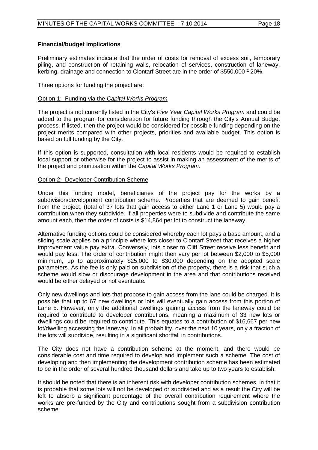#### **Financial/budget implications**

Preliminary estimates indicate that the order of costs for removal of excess soil, temporary piling, and construction of retaining walls, relocation of services, construction of laneway, kerbing, drainage and connection to Clontarf Street are in the order of \$550,000  $^{\pm}$  20%.

Three options for funding the project are:

#### Option 1: Funding via the *Capital Works Program*

The project is not currently listed in the City's *Five Year Capital Works Program* and could be added to the program for consideration for future funding through the City's Annual Budget process. If listed, then the project would be considered for possible funding depending on the project merits compared with other projects, priorities and available budget. This option is based on full funding by the City.

If this option is supported, consultation with local residents would be required to establish local support or otherwise for the project to assist in making an assessment of the merits of the project and prioritisation within the *Capital Works Program*.

#### Option 2: Developer Contribution Scheme

Under this funding model, beneficiaries of the project pay for the works by a subdivision/development contribution scheme. Properties that are deemed to gain benefit from the project, (total of 37 lots that gain access to either Lane 1 or Lane 5) would pay a contribution when they subdivide. If all properties were to subdivide and contribute the same amount each, then the order of costs is \$14,864 per lot to construct the laneway.

Alternative funding options could be considered whereby each lot pays a base amount, and a sliding scale applies on a principle where lots closer to Clontarf Street that receives a higher improvement value pay extra. Conversely, lots closer to Cliff Street receive less benefit and would pay less. The order of contribution might then vary per lot between \$2,000 to \$5,000 minimum, up to approximately \$25,000 to \$30,000 depending on the adopted scale parameters. As the fee is only paid on subdivision of the property, there is a risk that such a scheme would slow or discourage development in the area and that contributions received would be either delayed or not eventuate.

Only new dwellings and lots that propose to gain access from the lane could be charged. It is possible that up to 67 new dwellings or lots will eventually gain access from this portion of Lane 5. However, only the additional dwellings gaining access from the laneway could be required to contribute to developer contributions, meaning a maximum of 33 new lots or dwellings could be required to contribute. This equates to a contribution of \$16,667 per new lot/dwelling accessing the laneway. In all probability, over the next 10 years, only a fraction of the lots will subdivide, resulting in a significant shortfall in contributions.

The City does not have a contribution scheme at the moment, and there would be considerable cost and time required to develop and implement such a scheme. The cost of developing and then implementing the development contribution scheme has been estimated to be in the order of several hundred thousand dollars and take up to two years to establish.

It should be noted that there is an inherent risk with developer contribution schemes, in that it is probable that some lots will not be developed or subdivided and as a result the City will be left to absorb a significant percentage of the overall contribution requirement where the works are pre-funded by the City and contributions sought from a subdivision contribution scheme.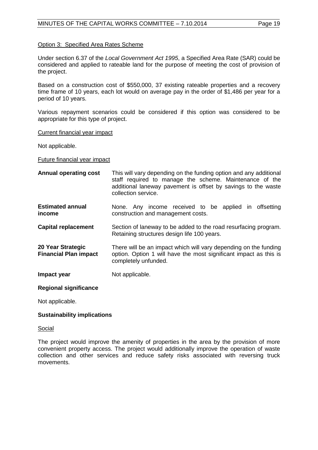#### Option 3: Specified Area Rates Scheme

Under section 6.37 of the *Local Government Act 1995*, a Specified Area Rate (SAR) could be considered and applied to rateable land for the purpose of meeting the cost of provision of the project.

Based on a construction cost of \$550,000, 37 existing rateable properties and a recovery time frame of 10 years, each lot would on average pay in the order of \$1,486 per year for a period of 10 years.

Various repayment scenarios could be considered if this option was considered to be appropriate for this type of project.

Current financial year impact

Not applicable.

Future financial year impact

**Annual operating cost** This will vary depending on the funding option and any additional staff required to manage the scheme. Maintenance of the additional laneway pavement is offset by savings to the waste collection service. **Estimated annual income** None. Any income received to be applied in offsetting construction and management costs. **Capital replacement** Section of laneway to be added to the road resurfacing program. Retaining structures design life 100 years. **20 Year Strategic Financial Plan impact**  There will be an impact which will vary depending on the funding option. Option 1 will have the most significant impact as this is completely unfunded. **Impact year Not applicable. Regional significance**

Not applicable.

#### **Sustainability implications**

Social

The project would improve the amenity of properties in the area by the provision of more convenient property access. The project would additionally improve the operation of waste collection and other services and reduce safety risks associated with reversing truck movements.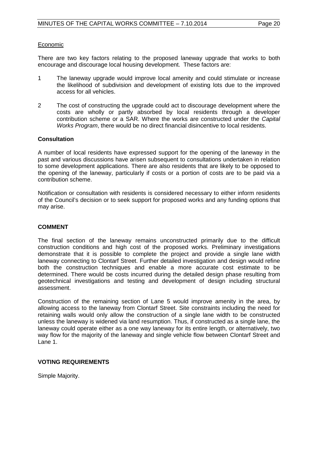#### Economic

There are two key factors relating to the proposed laneway upgrade that works to both encourage and discourage local housing development. These factors are:

- 1 The laneway upgrade would improve local amenity and could stimulate or increase the likelihood of subdivision and development of existing lots due to the improved access for all vehicles.
- 2 The cost of constructing the upgrade could act to discourage development where the costs are wholly or partly absorbed by local residents through a developer contribution scheme or a SAR. Where the works are constructed under the *Capital Works Program*, there would be no direct financial disincentive to local residents.

#### **Consultation**

A number of local residents have expressed support for the opening of the laneway in the past and various discussions have arisen subsequent to consultations undertaken in relation to some development applications. There are also residents that are likely to be opposed to the opening of the laneway, particularly if costs or a portion of costs are to be paid via a contribution scheme.

Notification or consultation with residents is considered necessary to either inform residents of the Council's decision or to seek support for proposed works and any funding options that may arise.

#### **COMMENT**

The final section of the laneway remains unconstructed primarily due to the difficult construction conditions and high cost of the proposed works. Preliminary investigations demonstrate that it is possible to complete the project and provide a single lane width laneway connecting to Clontarf Street. Further detailed investigation and design would refine both the construction techniques and enable a more accurate cost estimate to be determined. There would be costs incurred during the detailed design phase resulting from geotechnical investigations and testing and development of design including structural assessment.

Construction of the remaining section of Lane 5 would improve amenity in the area, by allowing access to the laneway from Clontarf Street. Site constraints including the need for retaining walls would only allow the construction of a single lane width to be constructed unless the laneway is widened via land resumption. Thus, if constructed as a single lane, the laneway could operate either as a one way laneway for its entire length, or alternatively, two way flow for the majority of the laneway and single vehicle flow between Clontarf Street and Lane 1.

#### **VOTING REQUIREMENTS**

Simple Majority.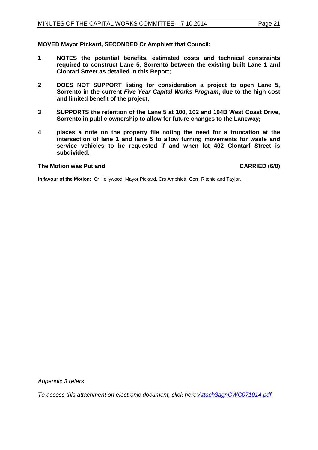**MOVED Mayor Pickard, SECONDED Cr Amphlett that Council:** 

- **1 NOTES the potential benefits, estimated costs and technical constraints required to construct Lane 5, Sorrento between the existing built Lane 1 and Clontarf Street as detailed in this Report;**
- **2 DOES NOT SUPPORT listing for consideration a project to open Lane 5, Sorrento in the current** *Five Year Capital Works Program***, due to the high cost and limited benefit of the project;**
- **3 SUPPORTS the retention of the Lane 5 at 100, 102 and 104B West Coast Drive, Sorrento in public ownership to allow for future changes to the Laneway;**
- **4 places a note on the property file noting the need for a truncation at the intersection of lane 1 and lane 5 to allow turning movements for waste and service vehicles to be requested if and when lot 402 Clontarf Street is subdivided.**

#### **The Motion was Put and CARRIED (6/0)**

**In favour of the Motion:** Cr Hollywood, Mayor Pickard, Crs Amphlett, Corr, Ritchie and Taylor.

*Appendix 3 refers*

<span id="page-20-0"></span>*[To access this attachment on electronic document, click here:Attach3agnCWC071014.pdf](http://www.joondalup.wa.gov.au/files/committees/CWOC/2014/Attach3agnCWC071014.pdf)*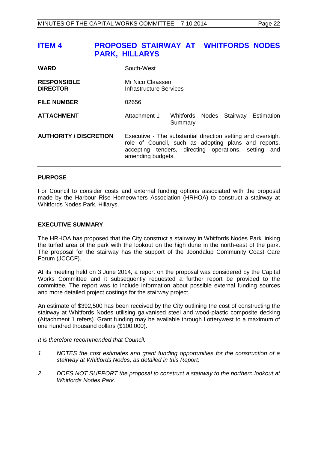# **ITEM 4 PROPOSED STAIRWAY AT WHITFORDS NODES PARK, HILLARYS**

| <b>WARD</b>                           | South-West                                                                                                                                                                                       |         |  |  |                                     |
|---------------------------------------|--------------------------------------------------------------------------------------------------------------------------------------------------------------------------------------------------|---------|--|--|-------------------------------------|
| <b>RESPONSIBLE</b><br><b>DIRECTOR</b> | Mr Nico Claassen<br>Infrastructure Services                                                                                                                                                      |         |  |  |                                     |
| <b>FILE NUMBER</b>                    | 02656                                                                                                                                                                                            |         |  |  |                                     |
| <b>ATTACHMENT</b>                     | Attachment 1                                                                                                                                                                                     | Summary |  |  | Whitfords Nodes Stairway Estimation |
| <b>AUTHORITY / DISCRETION</b>         | Executive - The substantial direction setting and oversight<br>role of Council, such as adopting plans and reports,<br>accepting tenders, directing operations, setting and<br>amending budgets. |         |  |  |                                     |

#### **PURPOSE**

For Council to consider costs and external funding options associated with the proposal made by the Harbour Rise Homeowners Association (HRHOA) to construct a stairway at Whitfords Nodes Park, Hillarys.

#### **EXECUTIVE SUMMARY**

The HRHOA has proposed that the City construct a stairway in Whitfords Nodes Park linking the turfed area of the park with the lookout on the high dune in the north-east of the park. The proposal for the stairway has the support of the Joondalup Community Coast Care Forum (JCCCF).

At its meeting held on 3 June 2014, a report on the proposal was considered by the Capital Works Committee and it subsequently requested a further report be provided to the committee. The report was to include information about possible external funding sources and more detailed project costings for the stairway project.

An estimate of \$392,500 has been received by the City outlining the cost of constructing the stairway at Whitfords Nodes utilising galvanised steel and wood-plastic composite decking (Attachment 1 refers). Grant funding may be available through Lotterywest to a maximum of one hundred thousand dollars (\$100,000).

*It is therefore recommended that Council:*

- *1 NOTES the cost estimates and grant funding opportunities for the construction of a stairway at Whitfords Nodes, as detailed in this Report;*
- *2 DOES NOT SUPPORT the proposal to construct a stairway to the northern lookout at Whitfords Nodes Park.*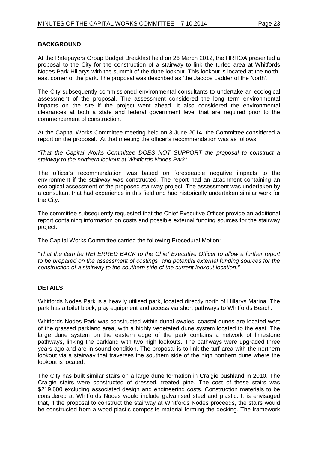#### **BACKGROUND**

At the Ratepayers Group Budget Breakfast held on 26 March 2012, the HRHOA presented a proposal to the City for the construction of a stairway to link the turfed area at Whitfords Nodes Park Hillarys with the summit of the dune lookout. This lookout is located at the northeast corner of the park. The proposal was described as 'the Jacobs Ladder of the North'.

The City subsequently commissioned environmental consultants to undertake an ecological assessment of the proposal. The assessment considered the long term environmental impacts on the site if the project went ahead. It also considered the environmental clearances at both a state and federal government level that are required prior to the commencement of construction.

At the Capital Works Committee meeting held on 3 June 2014, the Committee considered a report on the proposal. At that meeting the officer's recommendation was as follows:

*"That the Capital Works Committee DOES NOT SUPPORT the proposal to construct a stairway to the northern lookout at Whitfords Nodes Park".*

The officer's recommendation was based on foreseeable negative impacts to the environment if the stairway was constructed. The report had an attachment containing an ecological assessment of the proposed stairway project. The assessment was undertaken by a consultant that had experience in this field and had historically undertaken similar work for the City.

The committee subsequently requested that the Chief Executive Officer provide an additional report containing information on costs and possible external funding sources for the stairway project.

The Capital Works Committee carried the following Procedural Motion:

*"That the item be REFERRED BACK to the Chief Executive Officer to allow a further report to be prepared on the assessment of costings and potential external funding sources for the construction of a stairway to the southern side of the current lookout location."*

### **DETAILS**

Whitfords Nodes Park is a heavily utilised park, located directly north of Hillarys Marina. The park has a toilet block, play equipment and access via short pathways to Whitfords Beach.

Whitfords Nodes Park was constructed within dunal swales; coastal dunes are located west of the grassed parkland area, with a highly vegetated dune system located to the east. The large dune system on the eastern edge of the park contains a network of limestone pathways, linking the parkland with two high lookouts. The pathways were upgraded three years ago and are in sound condition. The proposal is to link the turf area with the northern lookout via a stairway that traverses the southern side of the high northern dune where the lookout is located.

The City has built similar stairs on a large dune formation in Craigie bushland in 2010. The Craigie stairs were constructed of dressed, treated pine. The cost of these stairs was \$219,600 excluding associated design and engineering costs. Construction materials to be considered at Whitfords Nodes would include galvanised steel and plastic. It is envisaged that, if the proposal to construct the stairway at Whitfords Nodes proceeds, the stairs would be constructed from a wood-plastic composite material forming the decking. The framework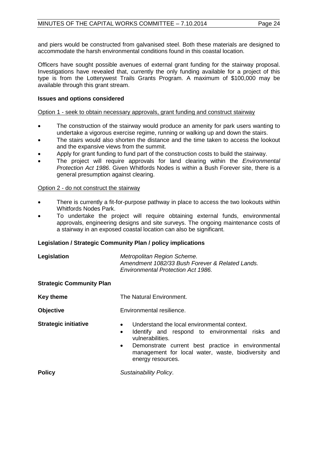and piers would be constructed from galvanised steel. Both these materials are designed to accommodate the harsh environmental conditions found in this coastal location.

Officers have sought possible avenues of external grant funding for the stairway proposal. Investigations have revealed that, currently the only funding available for a project of this type is from the Lotterywest Trails Grants Program. A maximum of \$100,000 may be available through this grant stream.

#### **Issues and options considered**

#### Option 1 - seek to obtain necessary approvals, grant funding and construct stairway

- The construction of the stairway would produce an amenity for park users wanting to undertake a vigorous exercise regime, running or walking up and down the stairs.
- The stairs would also shorten the distance and the time taken to access the lookout and the expansive views from the summit.
- Apply for grant funding to fund part of the construction costs to build the stairway.
- The project will require approvals for land clearing within the *Environmental Protection Act 1986*. Given Whitfords Nodes is within a Bush Forever site, there is a general presumption against clearing.

#### Option 2 - do not construct the stairway

- There is currently a fit-for-purpose pathway in place to access the two lookouts within Whitfords Nodes Park.
- To undertake the project will require obtaining external funds, environmental approvals, engineering designs and site surveys. The ongoing maintenance costs of a stairway in an exposed coastal location can also be significant.

#### **Legislation / Strategic Community Plan / policy implications**

| Legislation                     | Metropolitan Region Scheme.<br>Amendment 1082/33 Bush Forever & Related Lands.<br>Environmental Protection Act 1986.                                                                                                                                                                        |  |
|---------------------------------|---------------------------------------------------------------------------------------------------------------------------------------------------------------------------------------------------------------------------------------------------------------------------------------------|--|
| <b>Strategic Community Plan</b> |                                                                                                                                                                                                                                                                                             |  |
| <b>Key theme</b>                | The Natural Environment.                                                                                                                                                                                                                                                                    |  |
| <b>Objective</b>                | Environmental resilience.                                                                                                                                                                                                                                                                   |  |
| <b>Strategic initiative</b>     | Understand the local environmental context.<br>$\bullet$<br>Identify and respond to environmental risks and<br>$\bullet$<br>vulnerabilities.<br>Demonstrate current best practice in environmental<br>$\bullet$<br>management for local water, waste, biodiversity and<br>energy resources. |  |
| <b>Policy</b>                   | Sustainability Policy.                                                                                                                                                                                                                                                                      |  |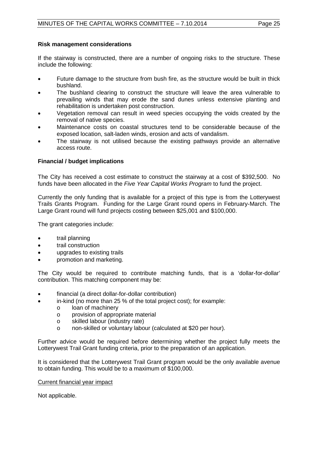#### **Risk management considerations**

If the stairway is constructed, there are a number of ongoing risks to the structure. These include the following:

- Future damage to the structure from bush fire, as the structure would be built in thick bushland.
- The bushland clearing to construct the structure will leave the area vulnerable to prevailing winds that may erode the sand dunes unless extensive planting and rehabilitation is undertaken post construction.
- Vegetation removal can result in weed species occupying the voids created by the removal of native species.
- Maintenance costs on coastal structures tend to be considerable because of the exposed location, salt-laden winds, erosion and acts of vandalism.
- The stairway is not utilised because the existing pathways provide an alternative access route.

#### **Financial / budget implications**

The City has received a cost estimate to construct the stairway at a cost of \$392,500. No funds have been allocated in the *Five Year Capital Works Program* to fund the project.

Currently the only funding that is available for a project of this type is from the Lotterywest Trails Grants Program. Funding for the Large Grant round opens in February-March. The Large Grant round will fund projects costing between \$25,001 and \$100,000.

The grant categories include:

- trail planning
- trail construction
- upgrades to existing trails
- promotion and marketing.

The City would be required to contribute matching funds, that is a 'dollar-for-dollar' contribution. This matching component may be:

- financial (a direct dollar-for-dollar contribution)
	- in-kind (no more than 25 % of the total project cost); for example:
		- o loan of machinery<br>o provision of approi
		- o provision of appropriate material<br>
		o skilled labour (industry rate)
		- skilled labour (industry rate)
		- o non-skilled or voluntary labour (calculated at \$20 per hour).

Further advice would be required before determining whether the project fully meets the Lotterywest Trail Grant funding criteria, prior to the preparation of an application.

It is considered that the Lotterywest Trail Grant program would be the only available avenue to obtain funding. This would be to a maximum of \$100,000.

#### Current financial year impact

Not applicable.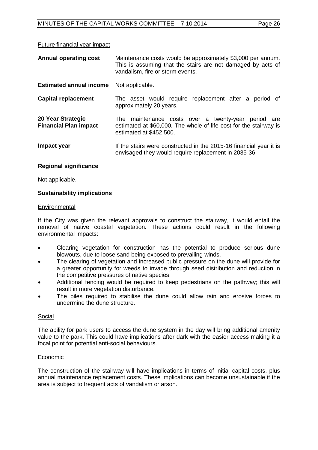#### Future financial year impact

| <b>Annual operating cost</b>                      | Maintenance costs would be approximately \$3,000 per annum.<br>This is assuming that the stairs are not damaged by acts of<br>vandalism, fire or storm events. |
|---------------------------------------------------|----------------------------------------------------------------------------------------------------------------------------------------------------------------|
| <b>Estimated annual income</b>                    | Not applicable.                                                                                                                                                |
| <b>Capital replacement</b>                        | The asset would require replacement after a period of<br>approximately 20 years.                                                                               |
| 20 Year Strategic<br><b>Financial Plan impact</b> | The maintenance costs over a twenty-year period are<br>estimated at \$60,000. The whole-of-life cost for the stairway is<br>estimated at \$452,500.            |
| Impact year                                       | If the stairs were constructed in the 2015-16 financial year it is<br>envisaged they would require replacement in 2035-36.                                     |

#### **Regional significance**

Not applicable.

#### **Sustainability implications**

#### **Environmental**

If the City was given the relevant approvals to construct the stairway, it would entail the removal of native coastal vegetation. These actions could result in the following environmental impacts:

- Clearing vegetation for construction has the potential to produce serious dune blowouts, due to loose sand being exposed to prevailing winds.
- The clearing of vegetation and increased public pressure on the dune will provide for a greater opportunity for weeds to invade through seed distribution and reduction in the competitive pressures of native species.
- Additional fencing would be required to keep pedestrians on the pathway; this will result in more vegetation disturbance.
- The piles required to stabilise the dune could allow rain and erosive forces to undermine the dune structure.

#### Social

The ability for park users to access the dune system in the day will bring additional amenity value to the park. This could have implications after dark with the easier access making it a focal point for potential anti-social behaviours.

#### Economic

The construction of the stairway will have implications in terms of initial capital costs, plus annual maintenance replacement costs. These implications can become unsustainable if the area is subject to frequent acts of vandalism or arson.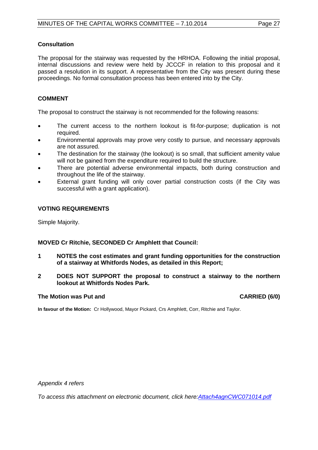#### **Consultation**

The proposal for the stairway was requested by the HRHOA. Following the initial proposal, internal discussions and review were held by JCCCF in relation to this proposal and it passed a resolution in its support. A representative from the City was present during these proceedings. No formal consultation process has been entered into by the City.

#### **COMMENT**

The proposal to construct the stairway is not recommended for the following reasons:

- The current access to the northern lookout is fit-for-purpose; duplication is not required.
- Environmental approvals may prove very costly to pursue, and necessary approvals are not assured.
- The destination for the stairway (the lookout) is so small, that sufficient amenity value will not be gained from the expenditure required to build the structure.
- There are potential adverse environmental impacts, both during construction and throughout the life of the stairway.
- External grant funding will only cover partial construction costs (if the City was successful with a grant application).

#### **VOTING REQUIREMENTS**

Simple Majority.

#### **MOVED Cr Ritchie, SECONDED Cr Amphlett that Council:**

- **1 NOTES the cost estimates and grant funding opportunities for the construction of a stairway at Whitfords Nodes, as detailed in this Report;**
- **2 DOES NOT SUPPORT the proposal to construct a stairway to the northern lookout at Whitfords Nodes Park.**

#### **The Motion was Put and CARRIED (6/0)**

**In favour of the Motion:** Cr Hollywood, Mayor Pickard, Crs Amphlett, Corr, Ritchie and Taylor.

*Appendix 4 refers*

<span id="page-26-0"></span>*[To access this attachment on electronic document, click here:Attach4agnCWC071014.pdf](http://www.joondalup.wa.gov.au/files/committees/CWOC/2014/Attach4agnCWC071014.pdf)*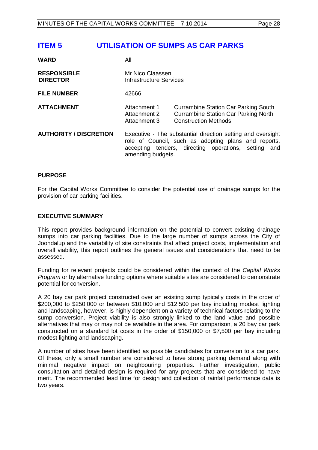# **ITEM 5 UTILISATION OF SUMPS AS CAR PARKS**

| <b>WARD</b>                           | All                                                |                                                                                                                                                                             |
|---------------------------------------|----------------------------------------------------|-----------------------------------------------------------------------------------------------------------------------------------------------------------------------------|
| <b>RESPONSIBLE</b><br><b>DIRECTOR</b> | Mr Nico Claassen<br><b>Infrastructure Services</b> |                                                                                                                                                                             |
| <b>FILE NUMBER</b>                    | 42666                                              |                                                                                                                                                                             |
| <b>ATTACHMENT</b>                     | Attachment 1<br>Attachment 2<br>Attachment 3       | <b>Currambine Station Car Parking South</b><br><b>Currambine Station Car Parking North</b><br><b>Construction Methods</b>                                                   |
| <b>AUTHORITY / DISCRETION</b>         | amending budgets.                                  | Executive - The substantial direction setting and oversight<br>role of Council, such as adopting plans and reports,<br>accepting tenders, directing operations, setting and |

#### **PURPOSE**

For the Capital Works Committee to consider the potential use of drainage sumps for the provision of car parking facilities.

#### **EXECUTIVE SUMMARY**

This report provides background information on the potential to convert existing drainage sumps into car parking facilities. Due to the large number of sumps across the City of Joondalup and the variability of site constraints that affect project costs, implementation and overall viability, this report outlines the general issues and considerations that need to be assessed.

Funding for relevant projects could be considered within the context of the *Capital Works Program* or by alternative funding options where suitable sites are considered to demonstrate potential for conversion.

A 20 bay car park project constructed over an existing sump typically costs in the order of \$200,000 to \$250,000 or between \$10,000 and \$12,500 per bay including modest lighting and landscaping, however, is highly dependent on a variety of technical factors relating to the sump conversion. Project viability is also strongly linked to the land value and possible alternatives that may or may not be available in the area. For comparison, a 20 bay car park constructed on a standard lot costs in the order of \$150,000 or \$7,500 per bay including modest lighting and landscaping.

A number of sites have been identified as possible candidates for conversion to a car park. Of these, only a small number are considered to have strong parking demand along with minimal negative impact on neighbouring properties. Further investigation, public consultation and detailed design is required for any projects that are considered to have merit. The recommended lead time for design and collection of rainfall performance data is two years.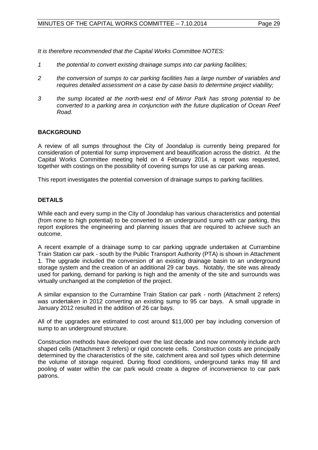*It is therefore recommended that the Capital Works Committee NOTES:*

- *1 the potential to convert existing drainage sumps into car parking facilities;*
- *2 the conversion of sumps to car parking facilities has a large number of variables and requires detailed assessment on a case by case basis to determine project viability;*
- *3 the sump located at the north-west end of Mirror Park has strong potential to be converted to a parking area in conjunction with the future duplication of Ocean Reef Road.*

#### **BACKGROUND**

A review of all sumps throughout the City of Joondalup is currently being prepared for consideration of potential for sump improvement and beautification across the district. At the Capital Works Committee meeting held on 4 February 2014, a report was requested, together with costings on the possibility of covering sumps for use as car parking areas.

This report investigates the potential conversion of drainage sumps to parking facilities.

#### **DETAILS**

While each and every sump in the City of Joondalup has various characteristics and potential (from none to high potential) to be converted to an underground sump with car parking, this report explores the engineering and planning issues that are required to achieve such an outcome.

A recent example of a drainage sump to car parking upgrade undertaken at Currambine Train Station car park - south by the Public Transport Authority (PTA) is shown in Attachment 1. The upgrade included the conversion of an existing drainage basin to an underground storage system and the creation of an additional 29 car bays. Notably, the site was already used for parking, demand for parking is high and the amenity of the site and surrounds was virtually unchanged at the completion of the project.

A similar expansion to the Currambine Train Station car park - north (Attachment 2 refers) was undertaken in 2012 converting an existing sump to 95 car bays. A small upgrade in January 2012 resulted in the addition of 26 car bays.

All of the upgrades are estimated to cost around \$11,000 per bay including conversion of sump to an underground structure.

Construction methods have developed over the last decade and now commonly include arch shaped cells (Attachment 3 refers) or rigid concrete cells. Construction costs are principally determined by the characteristics of the site, catchment area and soil types which determine the volume of storage required. During flood conditions, underground tanks may fill and pooling of water within the car park would create a degree of inconvenience to car park patrons.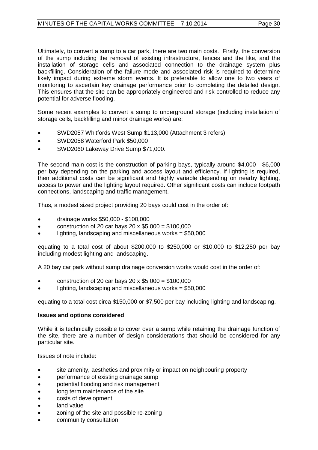Ultimately, to convert a sump to a car park, there are two main costs. Firstly, the conversion of the sump including the removal of existing infrastructure, fences and the like, and the installation of storage cells and associated connection to the drainage system plus backfilling. Consideration of the failure mode and associated risk is required to determine likely impact during extreme storm events. It is preferable to allow one to two years of monitoring to ascertain key drainage performance prior to completing the detailed design. This ensures that the site can be appropriately engineered and risk controlled to reduce any potential for adverse flooding.

Some recent examples to convert a sump to underground storage (including installation of storage cells, backfilling and minor drainage works) are:

- SWD2057 Whitfords West Sump \$113,000 (Attachment 3 refers)
- SWD2058 Waterford Park \$50,000
- SWD2060 Lakeway Drive Sump \$71,000.

The second main cost is the construction of parking bays, typically around \$4,000 - \$6,000 per bay depending on the parking and access layout and efficiency. If lighting is required, then additional costs can be significant and highly variable depending on nearby lighting, access to power and the lighting layout required. Other significant costs can include footpath connections, landscaping and traffic management.

Thus, a modest sized project providing 20 bays could cost in the order of:

- drainage works \$50,000 \$100,000
- construction of 20 car bays 20  $\times$  \$5,000 = \$100,000
- lighting, landscaping and miscellaneous works  $= $50,000$

equating to a total cost of about \$200,000 to \$250,000 or \$10,000 to \$12,250 per bay including modest lighting and landscaping.

A 20 bay car park without sump drainage conversion works would cost in the order of:

- construction of 20 car bays 20 x  $$5,000 = $100,000$
- lighting, landscaping and miscellaneous works  $= $50,000$

equating to a total cost circa \$150,000 or \$7,500 per bay including lighting and landscaping.

#### **Issues and options considered**

While it is technically possible to cover over a sump while retaining the drainage function of the site, there are a number of design considerations that should be considered for any particular site.

Issues of note include:

- site amenity, aesthetics and proximity or impact on neighbouring property
- performance of existing drainage sump
- potential flooding and risk management
- long term maintenance of the site
- costs of development
- land value
- zoning of the site and possible re-zoning
- community consultation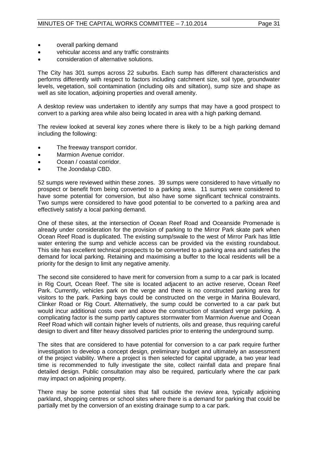- overall parking demand
- vehicular access and any traffic constraints
- consideration of alternative solutions.

The City has 301 sumps across 22 suburbs. Each sump has different characteristics and performs differently with respect to factors including catchment size, soil type, groundwater levels, vegetation, soil contamination (including oils and siltation), sump size and shape as well as site location, adjoining properties and overall amenity.

A desktop review was undertaken to identify any sumps that may have a good prospect to convert to a parking area while also being located in area with a high parking demand.

The review looked at several key zones where there is likely to be a high parking demand including the following:

- The freeway transport corridor.
- Marmion Avenue corridor.
- Ocean / coastal corridor.
- The Joondalup CBD.

52 sumps were reviewed within these zones. 39 sumps were considered to have virtually no prospect or benefit from being converted to a parking area. 11 sumps were considered to have some potential for conversion, but also have some significant technical constraints. Two sumps were considered to have good potential to be converted to a parking area and effectively satisfy a local parking demand.

One of these sites, at the intersection of Ocean Reef Road and Oceanside Promenade is already under consideration for the provision of parking to the Mirror Park skate park when Ocean Reef Road is duplicated. The existing sump/swale to the west of Mirror Park has little water entering the sump and vehicle access can be provided via the existing roundabout. This site has excellent technical prospects to be converted to a parking area and satisfies the demand for local parking. Retaining and maximising a buffer to the local residents will be a priority for the design to limit any negative amenity.

The second site considered to have merit for conversion from a sump to a car park is located in Rig Court, Ocean Reef. The site is located adjacent to an active reserve, Ocean Reef Park. Currently, vehicles park on the verge and there is no constructed parking area for visitors to the park. Parking bays could be constructed on the verge in Marina Boulevard, Clinker Road or Rig Court. Alternatively, the sump could be converted to a car park but would incur additional costs over and above the construction of standard verge parking. A complicating factor is the sump partly captures stormwater from Marmion Avenue and Ocean Reef Road which will contain higher levels of nutrients, oils and grease, thus requiring careful design to divert and filter heavy dissolved particles prior to entering the underground sump.

The sites that are considered to have potential for conversion to a car park require further investigation to develop a concept design, preliminary budget and ultimately an assessment of the project viability. Where a project is then selected for capital upgrade, a two year lead time is recommended to fully investigate the site, collect rainfall data and prepare final detailed design. Public consultation may also be required, particularly where the car park may impact on adjoining property.

There may be some potential sites that fall outside the review area, typically adjoining parkland, shopping centres or school sites where there is a demand for parking that could be partially met by the conversion of an existing drainage sump to a car park.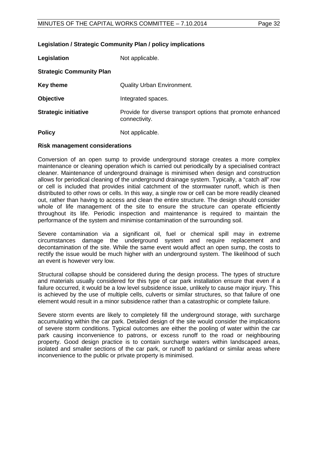#### **Legislation / Strategic Community Plan / policy implications**

| Legislation                     | Not applicable.                                                              |
|---------------------------------|------------------------------------------------------------------------------|
| <b>Strategic Community Plan</b> |                                                                              |
| <b>Key theme</b>                | <b>Quality Urban Environment.</b>                                            |
| <b>Objective</b>                | Integrated spaces.                                                           |
| <b>Strategic initiative</b>     | Provide for diverse transport options that promote enhanced<br>connectivity. |
| <b>Policy</b>                   | Not applicable.                                                              |

#### **Risk management considerations**

Conversion of an open sump to provide underground storage creates a more complex maintenance or cleaning operation which is carried out periodically by a specialised contract cleaner. Maintenance of underground drainage is minimised when design and construction allows for periodical cleaning of the underground drainage system. Typically, a "catch all" row or cell is included that provides initial catchment of the stormwater runoff, which is then distributed to other rows or cells. In this way, a single row or cell can be more readily cleaned out, rather than having to access and clean the entire structure. The design should consider whole of life management of the site to ensure the structure can operate efficiently throughout its life. Periodic inspection and maintenance is required to maintain the performance of the system and minimise contamination of the surrounding soil.

Severe contamination via a significant oil, fuel or chemical spill may in extreme circumstances damage the underground system and require replacement and decontamination of the site. While the same event would affect an open sump, the costs to rectify the issue would be much higher with an underground system. The likelihood of such an event is however very low.

Structural collapse should be considered during the design process. The types of structure and materials usually considered for this type of car park installation ensure that even if a failure occurred, it would be a low level subsidence issue, unlikely to cause major injury. This is achieved by the use of multiple cells, culverts or similar structures, so that failure of one element would result in a minor subsidence rather than a catastrophic or complete failure.

Severe storm events are likely to completely fill the underground storage, with surcharge accumulating within the car park. Detailed design of the site would consider the implications of severe storm conditions. Typical outcomes are either the pooling of water within the car park causing inconvenience to patrons, or excess runoff to the road or neighbouring property. Good design practice is to contain surcharge waters within landscaped areas, isolated and smaller sections of the car park, or runoff to parkland or similar areas where inconvenience to the public or private property is minimised.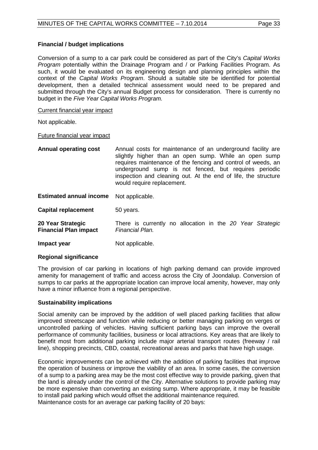#### **Financial / budget implications**

Conversion of a sump to a car park could be considered as part of the City's *Capital Works Program* potentially within the Drainage Program and / or Parking Facilities Program. As such, it would be evaluated on its engineering design and planning principles within the context of the *Capital Works Program*. Should a suitable site be identified for potential development, then a detailed technical assessment would need to be prepared and submitted through the City's annual Budget process for consideration. There is currently no budget in the *Five Year Capital Works Program.*

#### Current financial year impact

Not applicable.

#### Future financial year impact

**Annual operating cost** Annual costs for maintenance of an underground facility are slightly higher than an open sump. While an open sump requires maintenance of the fencing and control of weeds, an underground sump is not fenced, but requires periodic inspection and cleaning out. At the end of life, the structure would require replacement.

**Estimated annual income** Not applicable.

**Capital replacement** 50 years.

- **20 Year Strategic Financial Plan impact**  There is currently no allocation in the *20 Year Strategic Financial Plan.*
- **Impact year Not applicable.**

#### **Regional significance**

The provision of car parking in locations of high parking demand can provide improved amenity for management of traffic and access across the City of Joondalup. Conversion of sumps to car parks at the appropriate location can improve local amenity, however, may only have a minor influence from a regional perspective.

#### **Sustainability implications**

Social amenity can be improved by the addition of well placed parking facilities that allow improved streetscape and function while reducing or better managing parking on verges or uncontrolled parking of vehicles. Having sufficient parking bays can improve the overall performance of community facilities, business or local attractions. Key areas that are likely to benefit most from additional parking include major arterial transport routes (freeway / rail line), shopping precincts, CBD, coastal, recreational areas and parks that have high usage.

Economic improvements can be achieved with the addition of parking facilities that improve the operation of business or improve the viability of an area. In some cases, the conversion of a sump to a parking area may be the most cost effective way to provide parking, given that the land is already under the control of the City. Alternative solutions to provide parking may be more expensive than converting an existing sump. Where appropriate, it may be feasible to install paid parking which would offset the additional maintenance required. Maintenance costs for an average car parking facility of 20 bays: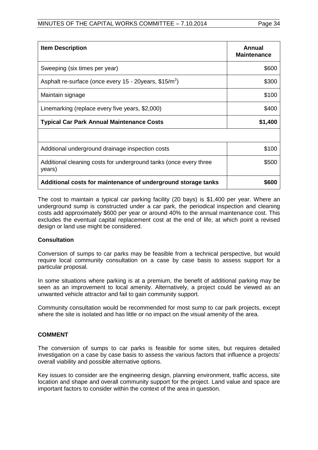| <b>Item Description</b>                                                     | Annual<br><b>Maintenance</b> |
|-----------------------------------------------------------------------------|------------------------------|
| Sweeping (six times per year)                                               | \$600                        |
| Asphalt re-surface (once every 15 - 20years, \$15/m <sup>2</sup> )          | \$300                        |
| Maintain signage                                                            | \$100                        |
| Linemarking (replace every five years, \$2,000)                             | \$400                        |
| <b>Typical Car Park Annual Maintenance Costs</b>                            | \$1,400                      |
|                                                                             |                              |
| Additional underground drainage inspection costs                            | \$100                        |
| Additional cleaning costs for underground tanks (once every three<br>years) | \$500                        |
| Additional costs for maintenance of underground storage tanks               | \$600                        |

The cost to maintain a typical car parking facility (20 bays) is \$1,400 per year. Where an underground sump is constructed under a car park, the periodical inspection and cleaning costs add approximately \$600 per year or around 40% to the annual maintenance cost. This excludes the eventual capital replacement cost at the end of life, at which point a revised design or land use might be considered.

#### **Consultation**

Conversion of sumps to car parks may be feasible from a technical perspective, but would require local community consultation on a case by case basis to assess support for a particular proposal.

In some situations where parking is at a premium, the benefit of additional parking may be seen as an improvement to local amenity. Alternatively, a project could be viewed as an unwanted vehicle attractor and fail to gain community support.

Community consultation would be recommended for most sump to car park projects, except where the site is isolated and has little or no impact on the visual amenity of the area.

#### **COMMENT**

The conversion of sumps to car parks is feasible for some sites, but requires detailed investigation on a case by case basis to assess the various factors that influence a projects' overall viability and possible alternative options.

Key issues to consider are the engineering design, planning environment, traffic access, site location and shape and overall community support for the project. Land value and space are important factors to consider within the context of the area in question.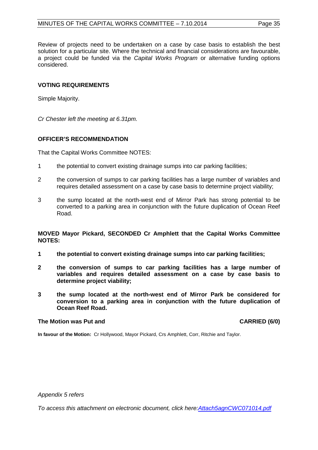Review of projects need to be undertaken on a case by case basis to establish the best solution for a particular site. Where the technical and financial considerations are favourable, a project could be funded via the *Capital Works Program* or alternative funding options considered.

#### **VOTING REQUIREMENTS**

Simple Majority.

*Cr Chester left the meeting at 6.31pm.*

#### **OFFICER'S RECOMMENDATION**

That the Capital Works Committee NOTES:

- 1 the potential to convert existing drainage sumps into car parking facilities;
- 2 the conversion of sumps to car parking facilities has a large number of variables and requires detailed assessment on a case by case basis to determine project viability;
- 3 the sump located at the north-west end of Mirror Park has strong potential to be converted to a parking area in conjunction with the future duplication of Ocean Reef Road.

**MOVED Mayor Pickard, SECONDED Cr Amphlett that the Capital Works Committee NOTES:** 

- **1 the potential to convert existing drainage sumps into car parking facilities;**
- **2 the conversion of sumps to car parking facilities has a large number of variables and requires detailed assessment on a case by case basis to determine project viability;**
- **3 the sump located at the north-west end of Mirror Park be considered for conversion to a parking area in conjunction with the future duplication of Ocean Reef Road.**

#### **The Motion was Put and CARRIED (6/0)**

**In favour of the Motion:** Cr Hollywood, Mayor Pickard, Crs Amphlett, Corr, Ritchie and Taylor.

*Appendix 5 refers*

*[To access this attachment on electronic document, click here:Attach5agnCWC071014.pdf](http://www.joondalup.wa.gov.au/files/committees/CWOC/2014/Attach5agnCWC071014.pdf)*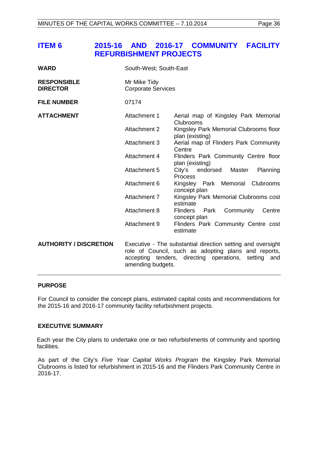# <span id="page-35-0"></span>**ITEM 6 2015-16 AND 2016-17 COMMUNITY FACILITY REFURBISHMENT PROJECTS**

| <b>WARD</b>                           | South-West; South-East                    |                                                                                                                                                             |
|---------------------------------------|-------------------------------------------|-------------------------------------------------------------------------------------------------------------------------------------------------------------|
| <b>RESPONSIBLE</b><br><b>DIRECTOR</b> | Mr Mike Tidy<br><b>Corporate Services</b> |                                                                                                                                                             |
| <b>FILE NUMBER</b>                    | 07174                                     |                                                                                                                                                             |
| <b>ATTACHMENT</b>                     | Attachment 1                              | Aerial map of Kingsley Park Memorial<br>Clubrooms                                                                                                           |
|                                       | <b>Attachment 2</b>                       | Kingsley Park Memorial Clubrooms floor<br>plan (existing)                                                                                                   |
|                                       | <b>Attachment 3</b>                       | Aerial map of Flinders Park Community<br>Centre                                                                                                             |
|                                       | Attachment 4                              | Flinders Park Community Centre floor<br>plan (existing)                                                                                                     |
|                                       | Attachment 5                              | City's endorsed Master<br>Planning<br><b>Process</b>                                                                                                        |
|                                       | Attachment 6                              | Kingsley Park Memorial Clubrooms<br>concept plan                                                                                                            |
|                                       | Attachment 7                              | Kingsley Park Memorial Clubrooms cost<br>estimate                                                                                                           |
|                                       | Attachment 8                              | <b>Flinders</b><br>Community<br>Park<br>Centre<br>concept plan                                                                                              |
|                                       | Attachment 9                              | Flinders Park Community Centre cost<br>estimate                                                                                                             |
| <b>AUTHORITY / DISCRETION</b>         | accepting tenders,<br>amending budgets.   | Executive - The substantial direction setting and oversight<br>role of Council, such as adopting plans and reports,<br>directing operations, setting<br>and |

#### **PURPOSE**

For Council to consider the concept plans, estimated capital costs and recommendations for the 2015-16 and 2016-17 community facility refurbishment projects.

#### **EXECUTIVE SUMMARY**

Each year the City plans to undertake one or two refurbishments of community and sporting facilities.

As part of the City's *Five Year Capital Works Program* the Kingsley Park Memorial Clubrooms is listed for refurbishment in 2015-16 and the Flinders Park Community Centre in 2016-17.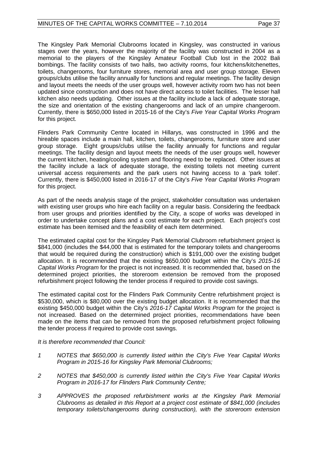The Kingsley Park Memorial Clubrooms located in Kingsley, was constructed in various stages over the years, however the majority of the facility was constructed in 2004 as a memorial to the players of the Kingsley Amateur Football Club lost in the 2002 Bali bombings. The facility consists of two halls, two activity rooms, four kitchens/kitchenettes, toilets, changerooms, four furniture stores, memorial area and user group storage. Eleven groups/clubs utilise the facility annually for functions and regular meetings. The facility design and layout meets the needs of the user groups well, however activity room two has not been updated since construction and does not have direct access to toilet facilities. The lesser hall kitchen also needs updating. Other issues at the facility include a lack of adequate storage, the size and orientation of the existing changerooms and lack of an umpire changeroom. Currently, there is \$650,000 listed in 2015-16 of the City's *Five Year Capital Works Program*  for this project.

Flinders Park Community Centre located in Hillarys, was constructed in 1996 and the hireable spaces include a main hall, kitchen, toilets, changerooms, furniture store and user group storage. Eight groups/clubs utilise the facility annually for functions and regular meetings. The facility design and layout meets the needs of the user groups well, however the current kitchen, heating/cooling system and flooring need to be replaced. Other issues at the facility include a lack of adequate storage, the existing toilets not meeting current universal access requirements and the park users not having access to a 'park toilet'. Currently, there is \$450,000 listed in 2016-17 of the City's *Five Year Capital Works Program*  for this project.

As part of the needs analysis stage of the project, stakeholder consultation was undertaken with existing user groups who hire each facility on a regular basis. Considering the feedback from user groups and priorities identified by the City, a scope of works was developed in order to undertake concept plans and a cost estimate for each project. Each project's cost estimate has been itemised and the feasibility of each item determined.

The estimated capital cost for the Kingsley Park Memorial Clubroom refurbishment project is \$841,000 (includes the \$44,000 that is estimated for the temporary toilets and changerooms that would be required during the construction) which is \$191,000 over the existing budget allocation. It is recommended that the existing \$650,000 budget within the City's *2015-16 Capital Works Program* for the project is not increased. It is recommended that, based on the determined project priorities, the storeroom extension be removed from the proposed refurbishment project following the tender process if required to provide cost savings.

The estimated capital cost for the Flinders Park Community Centre refurbishment project is \$530,000, which is \$80,000 over the existing budget allocation. It is recommended that the existing \$450,000 budget within the City's *2016-17 Capital Works Program* for the project is not increased. Based on the determined project priorities, recommendations have been made on the items that can be removed from the proposed refurbishment project following the tender process if required to provide cost savings.

*It is therefore recommended that Council:*

- *1 NOTES that \$650,000 is currently listed within the City's Five Year Capital Works Program in 2015-16 for Kingsley Park Memorial Clubrooms;*
- *2 NOTES that \$450,000 is currently listed within the City's Five Year Capital Works Program in 2016-17 for Flinders Park Community Centre;*
- *3 APPROVES the proposed refurbishment works at the Kingsley Park Memorial Clubrooms as detailed in this Report at a project cost estimate of \$841,000 (includes temporary toilets/changerooms during construction), with the storeroom extension*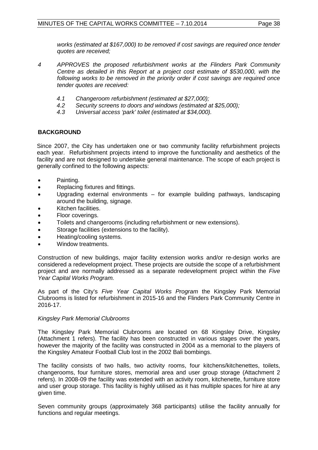*works (estimated at \$167,000) to be removed if cost savings are required once tender quotes are received;*

- *4 APPROVES the proposed refurbishment works at the Flinders Park Community Centre as detailed in this Report at a project cost estimate of \$530,000, with the following works to be removed in the priority order if cost savings are required once tender quotes are received:*
	- *4.1 Changeroom refurbishment (estimated at \$27,000);*
	- *4.2 Security screens to doors and windows (estimated at \$25,000);*
	- *4.3 Universal access 'park' toilet (estimated at \$34,000).*

### **BACKGROUND**

Since 2007, the City has undertaken one or two community facility refurbishment projects each year. Refurbishment projects intend to improve the functionality and aesthetics of the facility and are not designed to undertake general maintenance. The scope of each project is generally confined to the following aspects:

- Painting.
- Replacing fixtures and fittings.
- Upgrading external environments for example building pathways, landscaping around the building, signage.
- Kitchen facilities.
- Floor coverings.
- Toilets and changerooms (including refurbishment or new extensions).
- Storage facilities (extensions to the facility).
- Heating/cooling systems.
- Window treatments.

Construction of new buildings, major facility extension works and/or re-design works are considered a redevelopment project. These projects are outside the scope of a refurbishment project and are normally addressed as a separate redevelopment project within the *Five Year Capital Works Program.*

As part of the City's *Five Year Capital Works Program* the Kingsley Park Memorial Clubrooms is listed for refurbishment in 2015-16 and the Flinders Park Community Centre in 2016-17.

#### *Kingsley Park Memorial Clubrooms*

The Kingsley Park Memorial Clubrooms are located on 68 Kingsley Drive, Kingsley (Attachment 1 refers). The facility has been constructed in various stages over the years, however the majority of the facility was constructed in 2004 as a memorial to the players of the Kingsley Amateur Football Club lost in the 2002 Bali bombings.

The facility consists of two halls, two activity rooms, four kitchens/kitchenettes, toilets, changerooms, four furniture stores, memorial area and user group storage (Attachment 2 refers). In 2008-09 the facility was extended with an activity room, kitchenette, furniture store and user group storage. This facility is highly utilised as it has multiple spaces for hire at any given time.

Seven community groups (approximately 368 participants) utilise the facility annually for functions and regular meetings.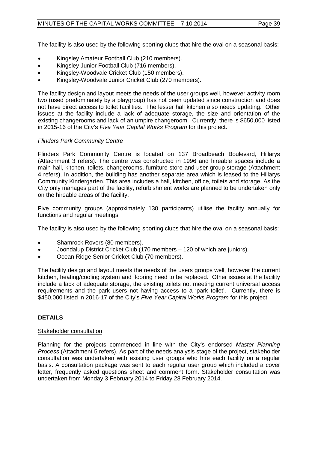The facility is also used by the following sporting clubs that hire the oval on a seasonal basis:

- Kingsley Amateur Football Club (210 members).
- Kingsley Junior Football Club (716 members).
- Kingsley-Woodvale Cricket Club (150 members).
- Kingsley-Woodvale Junior Cricket Club (270 members).

The facility design and layout meets the needs of the user groups well, however activity room two (used predominately by a playgroup) has not been updated since construction and does not have direct access to toilet facilities. The lesser hall kitchen also needs updating. Other issues at the facility include a lack of adequate storage, the size and orientation of the existing changerooms and lack of an umpire changeroom. Currently, there is \$650,000 listed in 2015-16 of the City's *Five Year Capital Works Program* for this project.

#### *Flinders Park Community Centre*

Flinders Park Community Centre is located on 137 Broadbeach Boulevard, Hillarys (Attachment 3 refers). The centre was constructed in 1996 and hireable spaces include a main hall, kitchen, toilets, changerooms, furniture store and user group storage (Attachment 4 refers). In addition, the building has another separate area which is leased to the Hillarys Community Kindergarten. This area includes a hall, kitchen, office, toilets and storage. As the City only manages part of the facility, refurbishment works are planned to be undertaken only on the hireable areas of the facility.

Five community groups (approximately 130 participants) utilise the facility annually for functions and regular meetings.

The facility is also used by the following sporting clubs that hire the oval on a seasonal basis:

- Shamrock Rovers (80 members).
- Joondalup District Cricket Club (170 members 120 of which are juniors).
- Ocean Ridge Senior Cricket Club (70 members).

The facility design and layout meets the needs of the users groups well, however the current kitchen, heating/cooling system and flooring need to be replaced. Other issues at the facility include a lack of adequate storage, the existing toilets not meeting current universal access requirements and the park users not having access to a 'park toilet'. Currently, there is \$450,000 listed in 2016-17 of the City's *Five Year Capital Works Program* for this project.

### **DETAILS**

#### Stakeholder consultation

Planning for the projects commenced in line with the City's endorsed *Master Planning Process* (Attachment 5 refers). As part of the needs analysis stage of the project, stakeholder consultation was undertaken with existing user groups who hire each facility on a regular basis. A consultation package was sent to each regular user group which included a cover letter, frequently asked questions sheet and comment form. Stakeholder consultation was undertaken from Monday 3 February 2014 to Friday 28 February 2014.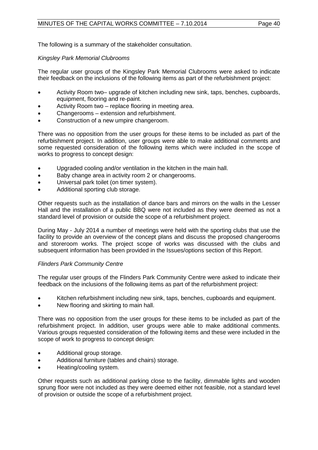The following is a summary of the stakeholder consultation.

#### *Kingsley Park Memorial Clubrooms*

The regular user groups of the Kingsley Park Memorial Clubrooms were asked to indicate their feedback on the inclusions of the following items as part of the refurbishment project:

- Activity Room two– upgrade of kitchen including new sink, taps, benches, cupboards, equipment, flooring and re-paint.
- Activity Room two replace flooring in meeting area.
- Changerooms extension and refurbishment.
- Construction of a new umpire changeroom.

There was no opposition from the user groups for these items to be included as part of the refurbishment project. In addition, user groups were able to make additional comments and some requested consideration of the following items which were included in the scope of works to progress to concept design:

- Upgraded cooling and/or ventilation in the kitchen in the main hall.
- Baby change area in activity room 2 or changerooms.
- Universal park toilet (on timer system).
- Additional sporting club storage.

Other requests such as the installation of dance bars and mirrors on the walls in the Lesser Hall and the installation of a public BBQ were not included as they were deemed as not a standard level of provision or outside the scope of a refurbishment project.

During May - July 2014 a number of meetings were held with the sporting clubs that use the facility to provide an overview of the concept plans and discuss the proposed changerooms and storeroom works. The project scope of works was discussed with the clubs and subsequent information has been provided in the Issues/options section of this Report.

#### *Flinders Park Community Centre*

The regular user groups of the Flinders Park Community Centre were asked to indicate their feedback on the inclusions of the following items as part of the refurbishment project:

- Kitchen refurbishment including new sink, taps, benches, cupboards and equipment.
- New flooring and skirting to main hall.

There was no opposition from the user groups for these items to be included as part of the refurbishment project. In addition, user groups were able to make additional comments. Various groups requested consideration of the following items and these were included in the scope of work to progress to concept design:

- Additional group storage.
- Additional furniture (tables and chairs) storage.
- Heating/cooling system.

Other requests such as additional parking close to the facility, dimmable lights and wooden sprung floor were not included as they were deemed either not feasible, not a standard level of provision or outside the scope of a refurbishment project.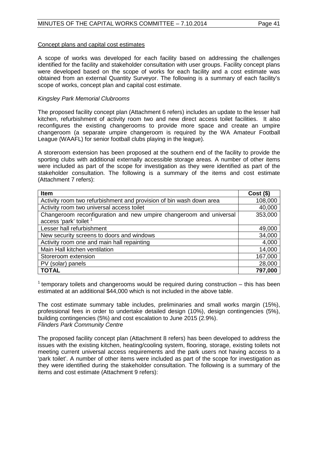#### Concept plans and capital cost estimates

A scope of works was developed for each facility based on addressing the challenges identified for the facility and stakeholder consultation with user groups. Facility concept plans were developed based on the scope of works for each facility and a cost estimate was obtained from an external Quantity Surveyor. The following is a summary of each facility's scope of works, concept plan and capital cost estimate.

#### *Kingsley Park Memorial Clubrooms*

The proposed facility concept plan (Attachment 6 refers) includes an update to the lesser hall kitchen, refurbishment of activity room two and new direct access toilet facilities. It also reconfigures the existing changerooms to provide more space and create an umpire changeroom (a separate umpire changeroom is required by the WA Amateur Football League (WAAFL) for senior football clubs playing in the league).

A storeroom extension has been proposed at the southern end of the facility to provide the sporting clubs with additional externally accessible storage areas. A number of other items were included as part of the scope for investigation as they were identified as part of the stakeholder consultation. The following is a summary of the items and cost estimate (Attachment 7 refers):

| Item                                                                | $Cost($ \$) |
|---------------------------------------------------------------------|-------------|
| Activity room two refurbishment and provision of bin wash down area | 108,000     |
| Activity room two universal access toilet                           | 40,000      |
| Changeroom reconfiguration and new umpire changeroom and universal  | 353,000     |
| access 'park' toilet <sup>1</sup>                                   |             |
| Lesser hall refurbishment                                           | 49,000      |
| New security screens to doors and windows                           | 34,000      |
| Activity room one and main hall repainting                          | 4,000       |
| Main Hall kitchen ventilation                                       | 14,000      |
| Storeroom extension                                                 | 167,000     |
| PV (solar) panels                                                   | 28,000      |
| <b>TOTAL</b>                                                        | 797,000     |

<sup>1</sup> temporary toilets and changerooms would be required during construction  $-$  this has been estimated at an additional \$44,000 which is not included in the above table.

The cost estimate summary table includes, preliminaries and small works margin (15%), professional fees in order to undertake detailed design (10%), design contingencies (5%), building contingencies (5%) and cost escalation to June 2015 (2.9%). *Flinders Park Community Centre*

The proposed facility concept plan (Attachment 8 refers) has been developed to address the issues with the existing kitchen, heating/cooling system, flooring, storage, existing toilets not meeting current universal access requirements and the park users not having access to a 'park toilet'. A number of other items were included as part of the scope for investigation as they were identified during the stakeholder consultation. The following is a summary of the items and cost estimate (Attachment 9 refers):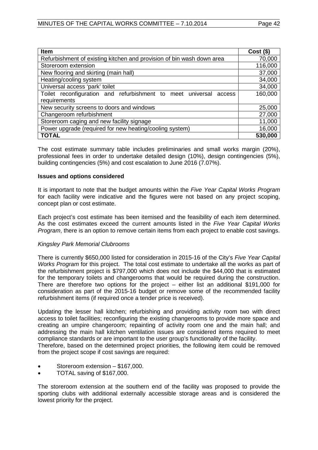| <b>Item</b>                                                           | $Cost($ \$) |
|-----------------------------------------------------------------------|-------------|
| Refurbishment of existing kitchen and provision of bin wash down area | 70,000      |
| Storeroom extension                                                   | 116,000     |
| New flooring and skirting (main hall)                                 | 37,000      |
| Heating/cooling system                                                | 34,000      |
| Universal access 'park' toilet                                        | 34,000      |
| Toilet reconfiguration and refurbishment to meet universal<br>access  | 160,000     |
| requirements                                                          |             |
| New security screens to doors and windows                             | 25,000      |
| Changeroom refurbishment                                              | 27,000      |
| Storeroom caging and new facility signage                             | 11,000      |
| Power upgrade (required for new heating/cooling system)               | 16,000      |
| <b>TOTAL</b>                                                          | 530,000     |

The cost estimate summary table includes preliminaries and small works margin (20%), professional fees in order to undertake detailed design (10%), design contingencies (5%), building contingencies (5%) and cost escalation to June 2016 (7.07%).

#### **Issues and options considered**

It is important to note that the budget amounts within the *Five Year Capital Works Program* for each facility were indicative and the figures were not based on any project scoping, concept plan or cost estimate.

Each project's cost estimate has been itemised and the feasibility of each item determined. As the cost estimates exceed the current amounts listed in the *Five Year Capital Works Program*, there is an option to remove certain items from each project to enable cost savings.

#### *Kingsley Park Memorial Clubrooms*

There is currently \$650,000 listed for consideration in 2015-16 of the City's *Five Year Capital Works Program* for this project. The total cost estimate to undertake all the works as part of the refurbishment project is \$797,000 which does not include the \$44,000 that is estimated for the temporary toilets and changerooms that would be required during the construction. There are therefore two options for the project – either list an additional \$191,000 for consideration as part of the 2015-16 budget or remove some of the recommended facility refurbishment items (if required once a tender price is received).

Updating the lesser hall kitchen; refurbishing and providing activity room two with direct access to toilet facilities; reconfiguring the existing changerooms to provide more space and creating an umpire changeroom; repainting of activity room one and the main hall; and addressing the main hall kitchen ventilation issues are considered items required to meet compliance standards or are important to the user group's functionality of the facility.

Therefore, based on the determined project priorities, the following item could be removed from the project scope if cost savings are required:

- Storeroom extension \$167,000.
- TOTAL saving of \$167,000.

The storeroom extension at the southern end of the facility was proposed to provide the sporting clubs with additional externally accessible storage areas and is considered the lowest priority for the project.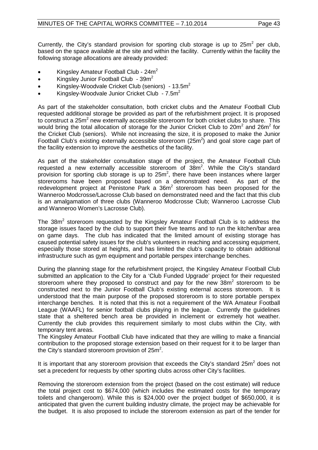Currently, the City's standard provision for sporting club storage is up to  $25m^2$  per club. based on the space available at the site and within the facility. Currently within the facility the following storage allocations are already provided:

- Kingsley Amateur Football Club 24m<sup>2</sup>
- Kingsley Junior Football Club  $39m^2$
- Kingsley-Woodvale Cricket Club (seniors) 13.5 $m^2$
- Kingsley-Woodvale Junior Cricket Club  $-7.5m^2$

As part of the stakeholder consultation, both cricket clubs and the Amateur Football Club requested additional storage be provided as part of the refurbishment project. It is proposed to construct a 25m<sup>2</sup> new externally accessible storeroom for both cricket clubs to share. This would bring the total allocation of storage for the Junior Cricket Club to  $20m^2$  and  $26m^2$  for the Cricket Club (seniors). While not increasing the size, it is proposed to make the Junior Football Club's existing externally accessible storeroom ( $25m<sup>2</sup>$ ) and goal store cage part of the facility extension to improve the aesthetics of the facility.

As part of the stakeholder consultation stage of the project, the Amateur Football Club requested a new externally accessible storeroom of  $38m^2$ . While the City's standard provision for sporting club storage is up to  $25m^2$ , there have been instances where larger storerooms have been proposed based on a demonstrated need. As part of the redevelopment project at Penistone Park a  $36m<sup>2</sup>$  storeroom has been proposed for the Wanneroo Modcrosse/Lacrosse Club based on demonstrated need and the fact that this club is an amalgamation of three clubs (Wanneroo Modcrosse Club; Wanneroo Lacrosse Club and Wanneroo Women's Lacrosse Club).

The 38m<sup>2</sup> storeroom requested by the Kingsley Amateur Football Club is to address the storage issues faced by the club to support their five teams and to run the kitchen/bar area on game days. The club has indicated that the limited amount of existing storage has caused potential safety issues for the club's volunteers in reaching and accessing equipment, especially those stored at heights, and has limited the club's capacity to obtain additional infrastructure such as gym equipment and portable perspex interchange benches.

During the planning stage for the refurbishment project, the Kingsley Amateur Football Club submitted an application to the City for a 'Club Funded Upgrade' project for their requested storeroom where they proposed to construct and pay for the new  $38m<sup>2</sup>$  storeroom to be constructed next to the Junior Football Club's existing external access storeroom. It is understood that the main purpose of the proposed storeroom is to store portable perspex interchange benches. It is noted that this is not a requirement of the WA Amateur Football League (WAAFL) for senior football clubs playing in the league. Currently the guidelines state that a sheltered bench area be provided in inclement or extremely hot weather. Currently the club provides this requirement similarly to most clubs within the City, with temporary tent areas.

The Kingsley Amateur Football Club have indicated that they are willing to make a financial contribution to the proposed storage extension based on their request for it to be larger than the City's standard storeroom provision of 25 $m^2$ .

It is important that any storeroom provision that exceeds the City's standard  $25m<sup>2</sup>$  does not set a precedent for requests by other sporting clubs across other City's facilities.

Removing the storeroom extension from the project (based on the cost estimate) will reduce the total project cost to \$674,000 (which includes the estimated costs for the temporary toilets and changeroom). While this is \$24,000 over the project budget of \$650,000, it is anticipated that given the current building industry climate, the project may be achievable for the budget. It is also proposed to include the storeroom extension as part of the tender for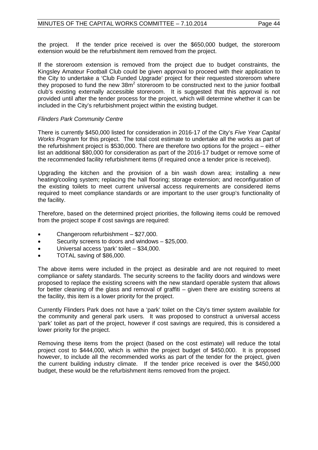the project. If the tender price received is over the \$650,000 budget, the storeroom extension would be the refurbishment item removed from the project.

If the storeroom extension is removed from the project due to budget constraints, the Kingsley Amateur Football Club could be given approval to proceed with their application to the City to undertake a 'Club Funded Upgrade' project for their requested storeroom where they proposed to fund the new  $38m^2$  storeroom to be constructed next to the junior football club's existing externally accessible storeroom. It is suggested that this approval is not provided until after the tender process for the project, which will determine whether it can be included in the City's refurbishment project within the existing budget.

#### *Flinders Park Community Centre*

There is currently \$450,000 listed for consideration in 2016-17 of the City's *Five Year Capital Works Program* for this project. The total cost estimate to undertake all the works as part of the refurbishment project is \$530,000. There are therefore two options for the project – either list an additional \$80,000 for consideration as part of the 2016-17 budget or remove some of the recommended facility refurbishment items (if required once a tender price is received).

Upgrading the kitchen and the provision of a bin wash down area; installing a new heating/cooling system; replacing the hall flooring; storage extension; and reconfiguration of the existing toilets to meet current universal access requirements are considered items required to meet compliance standards or are important to the user group's functionality of the facility.

Therefore, based on the determined project priorities, the following items could be removed from the project scope if cost savings are required:

- Changeroom refurbishment \$27,000.
- Security screens to doors and windows \$25,000.
- Universal access 'park' toilet \$34,000.
- TOTAL saving of \$86,000.

The above items were included in the project as desirable and are not required to meet compliance or safety standards. The security screens to the facility doors and windows were proposed to replace the existing screens with the new standard operable system that allows for better cleaning of the glass and removal of graffiti – given there are existing screens at the facility, this item is a lower priority for the project.

Currently Flinders Park does not have a 'park' toilet on the City's timer system available for the community and general park users. It was proposed to construct a universal access 'park' toilet as part of the project, however if cost savings are required, this is considered a lower priority for the project.

Removing these items from the project (based on the cost estimate) will reduce the total project cost to \$444,000, which is within the project budget of \$450,000. It is proposed however, to include all the recommended works as part of the tender for the project, given the current building industry climate. If the tender price received is over the \$450,000 budget, these would be the refurbishment items removed from the project.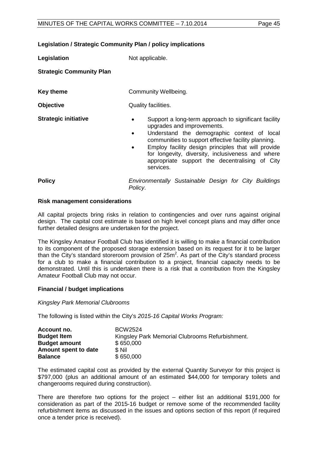#### **Legislation / Strategic Community Plan / policy implications**

**Legislation** Not applicable.

**Strategic Community Plan**

| <b>Key theme</b> | <b>Community Wellbeing.</b> |
|------------------|-----------------------------|
|                  |                             |

**Objective** Quality facilities.

- 
- **Strategic initiative** Support a long-term approach to significant facility upgrades and improvements.
	- Understand the demographic context of local communities to support effective facility planning.
	- Employ facility design principles that will provide for longevity, diversity, inclusiveness and where appropriate support the decentralising of City services.
- **Policy** *Environmentally Sustainable Design for City Buildings Policy*.

#### **Risk management considerations**

All capital projects bring risks in relation to contingencies and over runs against original design. The capital cost estimate is based on high level concept plans and may differ once further detailed designs are undertaken for the project.

The Kingsley Amateur Football Club has identified it is willing to make a financial contribution to its component of the proposed storage extension based on its request for it to be larger than the City's standard storeroom provision of  $25m^2$ . As part of the City's standard process for a club to make a financial contribution to a project, financial capacity needs to be demonstrated. Until this is undertaken there is a risk that a contribution from the Kingsley Amateur Football Club may not occur.

#### **Financial / budget implications**

*Kingsley Park Memorial Clubrooms*

The following is listed within the City's *2015-16 Capital Works Program:*

| Account no.          | BCW2524                                         |
|----------------------|-------------------------------------------------|
| <b>Budget Item</b>   | Kingsley Park Memorial Clubrooms Refurbishment. |
| <b>Budget amount</b> | \$650,000                                       |
| Amount spent to date | \$ Nil                                          |
| <b>Balance</b>       | \$650,000                                       |

The estimated capital cost as provided by the external Quantity Surveyor for this project is \$797,000 (plus an additional amount of an estimated \$44,000 for temporary toilets and changerooms required during construction).

There are therefore two options for the project – either list an additional \$191,000 for consideration as part of the 2015-16 budget or remove some of the recommended facility refurbishment items as discussed in the issues and options section of this report (if required once a tender price is received).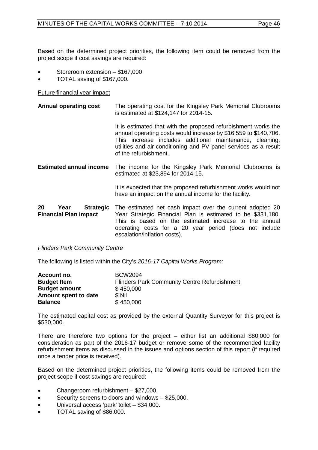Based on the determined project priorities, the following item could be removed from the project scope if cost savings are required:

- Storeroom extension \$167,000
- TOTAL saving of \$167,000.

Future financial year impact

**Annual operating cost** The operating cost for the Kingsley Park Memorial Clubrooms is estimated at \$124,147 for 2014-15. It is estimated that with the proposed refurbishment works the annual operating costs would increase by \$16,559 to \$140,706. This increase includes additional maintenance, cleaning, utilities and air-conditioning and PV panel services as a result of the refurbishment. **Estimated annual income** The income for the Kingsley Park Memorial Clubrooms is estimated at \$23,894 for 2014-15.

> It is expected that the proposed refurbishment works would not have an impact on the annual income for the facility.

| 20                           | Year | <b>Strategic</b> The estimated net cash impact over the current adopted 20 |
|------------------------------|------|----------------------------------------------------------------------------|
| <b>Financial Plan impact</b> |      | Year Strategic Financial Plan is estimated to be \$331,180.                |
|                              |      | This is based on the estimated increase to the annual                      |
|                              |      | operating costs for a 20 year period (does not include                     |
|                              |      | escalation/inflation costs).                                               |

*Flinders Park Community Centre*

The following is listed within the City's *2016-17 Capital Works Program:*

| Account no.          | <b>BCW2094</b>                                |
|----------------------|-----------------------------------------------|
| <b>Budget Item</b>   | Flinders Park Community Centre Refurbishment. |
| <b>Budget amount</b> | \$450,000                                     |
| Amount spent to date | \$ Nil                                        |
| <b>Balance</b>       | \$450,000                                     |

The estimated capital cost as provided by the external Quantity Surveyor for this project is \$530,000.

There are therefore two options for the project – either list an additional \$80,000 for consideration as part of the 2016-17 budget or remove some of the recommended facility refurbishment items as discussed in the issues and options section of this report (if required once a tender price is received).

Based on the determined project priorities, the following items could be removed from the project scope if cost savings are required:

- Changeroom refurbishment \$27,000.
- Security screens to doors and windows \$25,000.
- Universal access 'park' toilet \$34,000.
- TOTAL saving of \$86,000.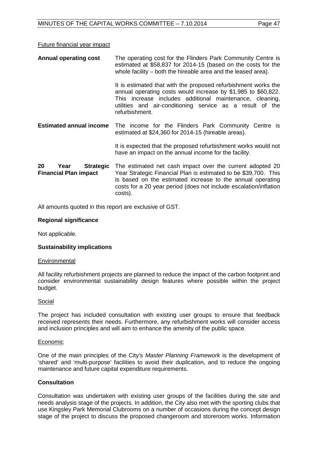#### Future financial year impact

| <b>Annual operating cost</b>                                   | The operating cost for the Flinders Park Community Centre is<br>estimated at \$58,837 for 2014-15 (based on the costs for the<br>whole facility – both the hireable area and the leased area).                                                                             |
|----------------------------------------------------------------|----------------------------------------------------------------------------------------------------------------------------------------------------------------------------------------------------------------------------------------------------------------------------|
|                                                                | It is estimated that with the proposed refurbishment works the<br>annual operating costs would increase by \$1,985 to \$60,822.<br>This increase includes additional maintenance, cleaning,<br>utilities and air-conditioning service as a result of the<br>refurbishment. |
| <b>Estimated annual income</b>                                 | The income for the Flinders Park Community Centre is<br>estimated at \$24,360 for 2014-15 (hireable areas).                                                                                                                                                                |
|                                                                | It is expected that the proposed refurbishment works would not<br>have an impact on the annual income for the facility.                                                                                                                                                    |
| 20<br><b>Strategic</b><br>Year<br><b>Financial Plan impact</b> | The estimated net cash impact over the current adopted 20<br>Year Strategic Financial Plan is estimated to be \$39,700. This<br>is based on the estimated increase to the annual operating<br>costs for a 20 year period (does not include escalation/inflation<br>costs). |

All amounts quoted in this report are exclusive of GST.

#### **Regional significance**

Not applicable.

#### **Sustainability implications**

#### **Environmental**

All facility refurbishment projects are planned to reduce the impact of the carbon footprint and consider environmental sustainability design features where possible within the project budget.

#### Social

The project has included consultation with existing user groups to ensure that feedback received represents their needs. Furthermore, any refurbishment works will consider access and inclusion principles and will aim to enhance the amenity of the public space.

#### Economic

One of the main principles of the City's *Master Planning Framework* is the development of 'shared' and 'multi-purpose' facilities to avoid their duplication, and to reduce the ongoing maintenance and future capital expenditure requirements.

#### **Consultation**

Consultation was undertaken with existing user groups of the facilities during the site and needs analysis stage of the projects. In addition, the City also met with the sporting clubs that use Kingsley Park Memorial Clubrooms on a number of occasions during the concept design stage of the project to discuss the proposed changeroom and storeroom works. Information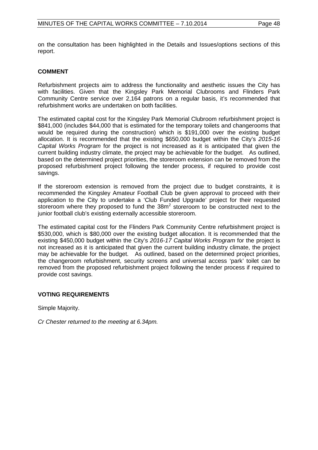on the consultation has been highlighted in the Details and Issues/options sections of this report.

#### **COMMENT**

Refurbishment projects aim to address the functionality and aesthetic issues the City has with facilities. Given that the Kingsley Park Memorial Clubrooms and Flinders Park Community Centre service over 2,164 patrons on a regular basis, it's recommended that refurbishment works are undertaken on both facilities.

The estimated capital cost for the Kingsley Park Memorial Clubroom refurbishment project is \$841,000 (includes \$44,000 that is estimated for the temporary toilets and changerooms that would be required during the construction) which is \$191,000 over the existing budget allocation. It is recommended that the existing \$650,000 budget within the City's *2015-16 Capital Works Program* for the project is not increased as it is anticipated that given the current building industry climate, the project may be achievable for the budget. As outlined, based on the determined project priorities, the storeroom extension can be removed from the proposed refurbishment project following the tender process, if required to provide cost savings.

If the storeroom extension is removed from the project due to budget constraints, it is recommended the Kingsley Amateur Football Club be given approval to proceed with their application to the City to undertake a 'Club Funded Upgrade' project for their requested storeroom where they proposed to fund the  $38m<sup>2</sup>$  storeroom to be constructed next to the junior football club's existing externally accessible storeroom.

The estimated capital cost for the Flinders Park Community Centre refurbishment project is \$530,000, which is \$80,000 over the existing budget allocation. It is recommended that the existing \$450,000 budget within the City's *2016-17 Capital Works Program* for the project is not increased as it is anticipated that given the current building industry climate, the project may be achievable for the budget. As outlined, based on the determined project priorities, the changeroom refurbishment, security screens and universal access 'park' toilet can be removed from the proposed refurbishment project following the tender process if required to provide cost savings.

#### **VOTING REQUIREMENTS**

Simple Majority.

*Cr Chester returned to the meeting at 6.34pm.*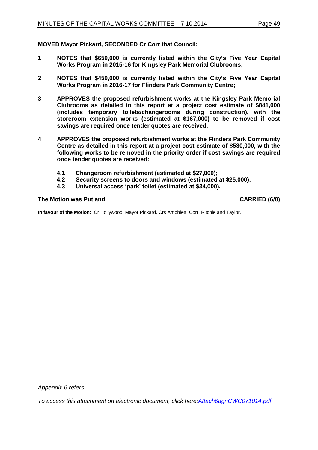**MOVED Mayor Pickard, SECONDED Cr Corr that Council:**

- **1 NOTES that \$650,000 is currently listed within the City's Five Year Capital Works Program in 2015-16 for Kingsley Park Memorial Clubrooms;**
- **2 NOTES that \$450,000 is currently listed within the City's Five Year Capital Works Program in 2016-17 for Flinders Park Community Centre;**
- **3 APPROVES the proposed refurbishment works at the Kingsley Park Memorial Clubrooms as detailed in this report at a project cost estimate of \$841,000 (includes temporary toilets/changerooms during construction), with the storeroom extension works (estimated at \$167,000) to be removed if cost savings are required once tender quotes are received;**
- **4 APPROVES the proposed refurbishment works at the Flinders Park Community Centre as detailed in this report at a project cost estimate of \$530,000, with the following works to be removed in the priority order if cost savings are required once tender quotes are received:**
	- **4.1 Changeroom refurbishment (estimated at \$27,000);**
	- **4.2 Security screens to doors and windows (estimated at \$25,000);**
	- **4.3 Universal access 'park' toilet (estimated at \$34,000).**

#### **The Motion was Put and CARRIED (6/0)**

**In favour of the Motion:** Cr Hollywood, Mayor Pickard, Crs Amphlett, Corr, Ritchie and Taylor.

*Appendix 6 refers*

*[To access this attachment on electronic document, click here:Attach6agnCWC071014.pdf](http://www.joondalup.wa.gov.au/files/committees/CWOC/2014/Attach6agnCWC071014.pdf)*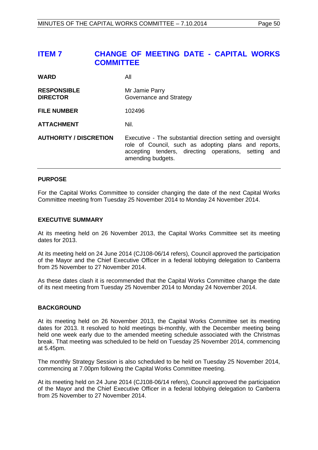# <span id="page-49-0"></span>**ITEM 7 CHANGE OF MEETING DATE - CAPITAL WORKS COMMITTEE**

| <b>WARD</b>                           | All                                                                                                                                                                                              |
|---------------------------------------|--------------------------------------------------------------------------------------------------------------------------------------------------------------------------------------------------|
| <b>RESPONSIBLE</b><br><b>DIRECTOR</b> | Mr Jamie Parry<br>Governance and Strategy                                                                                                                                                        |
| <b>FILE NUMBER</b>                    | 102496                                                                                                                                                                                           |
| <b>ATTACHMENT</b>                     | Nil.                                                                                                                                                                                             |
| <b>AUTHORITY / DISCRETION</b>         | Executive - The substantial direction setting and oversight<br>role of Council, such as adopting plans and reports,<br>accepting tenders, directing operations, setting and<br>amending budgets. |

#### **PURPOSE**

For the Capital Works Committee to consider changing the date of the next Capital Works Committee meeting from Tuesday 25 November 2014 to Monday 24 November 2014.

#### **EXECUTIVE SUMMARY**

At its meeting held on 26 November 2013, the Capital Works Committee set its meeting dates for 2013.

At its meeting held on 24 June 2014 (CJ108-06/14 refers), Council approved the participation of the Mayor and the Chief Executive Officer in a federal lobbying delegation to Canberra from 25 November to 27 November 2014.

As these dates clash it is recommended that the Capital Works Committee change the date of its next meeting from Tuesday 25 November 2014 to Monday 24 November 2014.

#### **BACKGROUND**

At its meeting held on 26 November 2013, the Capital Works Committee set its meeting dates for 2013. It resolved to hold meetings bi-monthly, with the December meeting being held one week early due to the amended meeting schedule associated with the Christmas break. That meeting was scheduled to be held on Tuesday 25 November 2014, commencing at 5.45pm.

The monthly Strategy Session is also scheduled to be held on Tuesday 25 November 2014, commencing at 7.00pm following the Capital Works Committee meeting.

At its meeting held on 24 June 2014 (CJ108-06/14 refers), Council approved the participation of the Mayor and the Chief Executive Officer in a federal lobbying delegation to Canberra from 25 November to 27 November 2014.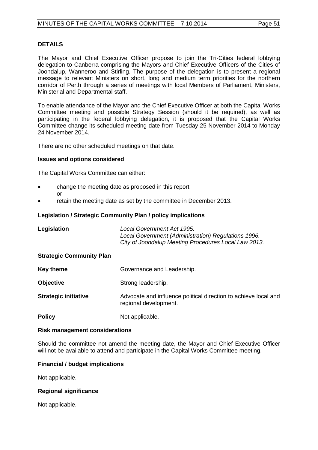#### **DETAILS**

The Mayor and Chief Executive Officer propose to join the Tri-Cities federal lobbying delegation to Canberra comprising the Mayors and Chief Executive Officers of the Cities of Joondalup, Wanneroo and Stirling. The purpose of the delegation is to present a regional message to relevant Ministers on short, long and medium term priorities for the northern corridor of Perth through a series of meetings with local Members of Parliament, Ministers, Ministerial and Departmental staff.

To enable attendance of the Mayor and the Chief Executive Officer at both the Capital Works Committee meeting and possible Strategy Session (should it be required), as well as participating in the federal lobbying delegation, it is proposed that the Capital Works Committee change its scheduled meeting date from Tuesday 25 November 2014 to Monday 24 November 2014.

There are no other scheduled meetings on that date.

#### **Issues and options considered**

The Capital Works Committee can either:

- change the meeting date as proposed in this report or
- retain the meeting date as set by the committee in December 2013.

#### **Legislation / Strategic Community Plan / policy implications**

| Legislation                     | Local Government Act 1995.<br>Local Government (Administration) Regulations 1996.<br>City of Joondalup Meeting Procedures Local Law 2013. |
|---------------------------------|-------------------------------------------------------------------------------------------------------------------------------------------|
| <b>Strategic Community Plan</b> |                                                                                                                                           |
| <b>Key theme</b>                | Governance and Leadership.                                                                                                                |
| <b>Objective</b>                | Strong leadership.                                                                                                                        |
| <b>Strategic initiative</b>     | Advocate and influence political direction to achieve local and<br>regional development.                                                  |
| <b>Policy</b>                   | Not applicable.                                                                                                                           |

#### **Risk management considerations**

Should the committee not amend the meeting date, the Mayor and Chief Executive Officer will not be available to attend and participate in the Capital Works Committee meeting.

#### **Financial / budget implications**

Not applicable.

#### **Regional significance**

Not applicable.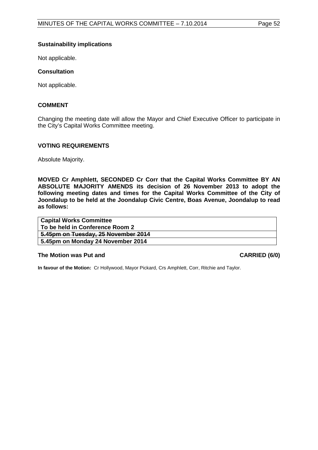#### **Sustainability implications**

Not applicable.

#### **Consultation**

Not applicable.

#### **COMMENT**

Changing the meeting date will allow the Mayor and Chief Executive Officer to participate in the City's Capital Works Committee meeting.

#### **VOTING REQUIREMENTS**

Absolute Majority.

**MOVED Cr Amphlett, SECONDED Cr Corr that the Capital Works Committee BY AN ABSOLUTE MAJORITY AMENDS its decision of 26 November 2013 to adopt the following meeting dates and times for the Capital Works Committee of the City of Joondalup to be held at the Joondalup Civic Centre, Boas Avenue, Joondalup to read as follows:**

| <b>Capital Works Committee</b>      |
|-------------------------------------|
| ⊦ To be held in Conference Room 2   |
| 5.45pm on Tuesday, 25 November 2014 |
| 5.45pm on Monday 24 November 2014   |

#### **The Motion was Put and CARRIED (6/0)**

**In favour of the Motion:** Cr Hollywood, Mayor Pickard, Crs Amphlett, Corr, Ritchie and Taylor.